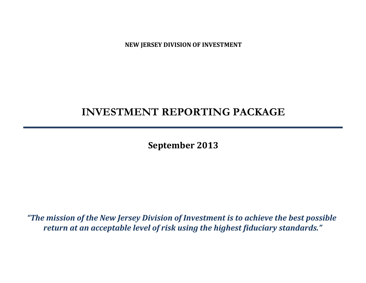**NEW JERSEY DIVISION OF INVESTMENT**

# **INVESTMENT REPORTING PACKAGE**

**September 2013**

*"The mission of the New Jersey Division of Investment is to achieve the best possible return at an acceptable level of risk using the highest fiduciary standards."*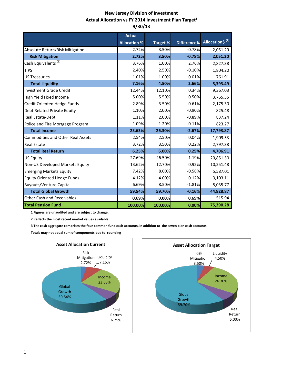# **New Jersey Division of Investment Actual Allocation vs FY 2014 Investment Plan Target<sup>1</sup> 9/30/13**

|                                          | <b>Actual</b>       |                 |          |                                         |
|------------------------------------------|---------------------|-----------------|----------|-----------------------------------------|
|                                          | <b>Allocation %</b> | <b>Target %</b> |          | Difference% Allocation\$ <sup>(2)</sup> |
| Absolute Return/Risk Mitigation          | 2.72%               | 3.50%           | $-0.78%$ | 2,051.20                                |
| <b>Risk Mitigation</b>                   | 2.72%               | 3.50%           | $-0.78%$ | 2,051.20                                |
| Cash Equivalents <sup>(3)</sup>          | 3.76%               | 1.00%           | 2.76%    | 2,827.38                                |
| <b>TIPS</b>                              | 2.40%               | 2.50%           | $-0.10%$ | 1,804.20                                |
| <b>US Treasuries</b>                     | 1.01%               | 1.00%           | 0.01%    | 761.91                                  |
| <b>Total Liquidity</b>                   | 7.16%               | 4.50%           | 2.66%    | 5,393.49                                |
| <b>Investment Grade Credit</b>           | 12.44%              | 12.10%          | 0.34%    | 9,367.03                                |
| High Yield Fixed Income                  | 5.00%               | 5.50%           | $-0.50%$ | 3,765.55                                |
| Credit Oriented Hedge Funds              | 2.89%               | 3.50%           | $-0.61%$ | 2,175.30                                |
| Debt Related Private Equity              | 1.10%               | 2.00%           | $-0.90%$ | 825.48                                  |
| <b>Real Estate-Debt</b>                  | 1.11%               | 2.00%           | $-0.89%$ | 837.24                                  |
| Police and Fire Mortgage Program         | 1.09%               | 1.20%           | $-0.11%$ | 823.27                                  |
| <b>Total Income</b>                      | 23.63%              | 26.30%          | $-2.67%$ | 17,793.87                               |
| <b>Commodities and Other Real Assets</b> | 2.54%               | 2.50%           | 0.04%    | 1,909.53                                |
| <b>Real Estate</b>                       | 3.72%               | 3.50%           | 0.22%    | 2,797.38                                |
| <b>Total Real Return</b>                 | 6.25%               | 6.00%           | 0.25%    | 4,706.91                                |
| <b>US Equity</b>                         | 27.69%              | 26.50%          | 1.19%    | 20,851.50                               |
| Non-US Developed Markets Equity          | 13.62%              | 12.70%          | 0.92%    | 10,251.48                               |
| <b>Emerging Markets Equity</b>           | 7.42%               | 8.00%           | $-0.58%$ | 5,587.01                                |
| <b>Equity Oriented Hedge Funds</b>       | 4.12%               | 4.00%           | 0.12%    | 3,103.11                                |
| <b>Buyouts/Venture Capital</b>           | 6.69%               | 8.50%           | $-1.81%$ | 5,035.77                                |
| <b>Total Global Growth</b>               | 59.54%              | 59.70%          | $-0.16%$ | 44,828.87                               |
| <b>Other Cash and Receivables</b>        | 0.69%               | 0.00%           | 0.69%    | 515.94                                  |
| <b>Total Pension Fund</b>                | 100.00%             | 100.00%         | 0.00%    | 75,290.28                               |

 **1 Figures are unaudited and are subject to change.**

 **2 Reflects the most recent market values available.**

 **3 The cash aggregate comprises the four common fund cash accounts, in addition to the seven plan cash accounts.**

 **Totals may not equal sum of components due to rounding**



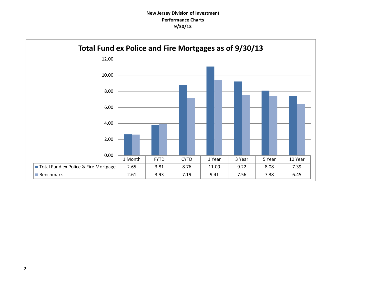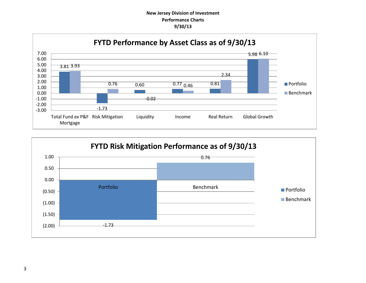# **New Jersey Division of Investment Performance Charts 9/30/13**



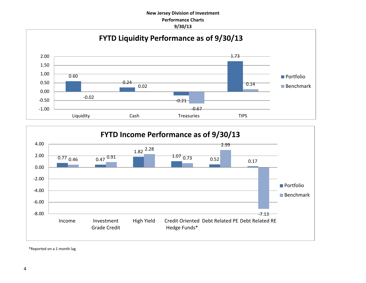# **New Jersey Division of Investment Performance Charts 9/30/13**





\*Reported on a 1 month lag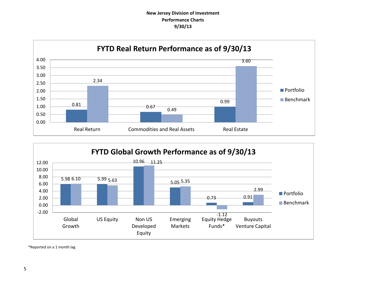# **New Jersey Division of Investment Performance Charts 9/30/13**





\*Reported on a 1 month lag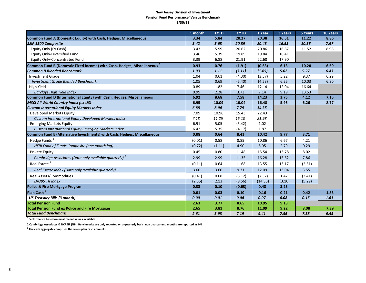#### **New Jersey Division of Investment Pension Fund Performance<sup>1</sup> Versus Benchmark 9/30/13**

|                                                                                     | 1 month | <b>FYTD</b> | <b>CYTD</b> | 1 Year  | 3 Years | 5 Years | 10 Years |
|-------------------------------------------------------------------------------------|---------|-------------|-------------|---------|---------|---------|----------|
| Common Fund A (Domestic Equity) with Cash, Hedges, Miscellaneous                    | 3.34    | 5.84        | 20.27       | 20.38   | 16.51   | 11.22   | 8.86     |
| S&P 1500 Composite                                                                  | 3.42    | 5.63        | 20.39       | 20.43   | 16.53   | 10.35   | 7.97     |
| Equity Only (Ex Cash)                                                               | 3.43    | 5.99        | 20.62       | 20.86   | 16.87   | 11.52   | 8.98     |
| <b>Equity Only-Diversified Fund</b>                                                 | 3.46    | 5.39        | 19.89       | 19.84   | 16.41   |         |          |
| <b>Equity Only-Concentrated Fund</b>                                                | 3.39    | 6.88        | 21.91       | 22.68   | 17.90   |         |          |
| Common Fund B (Domestic Fixed Income) with Cash, Hedges, Miscellaneous <sup>2</sup> | 0.93    | 0.76        | (1.91)      | (0.63)  | 6.13    | 10.20   | 6.69     |
| <b>Common B Blended Benchmark</b>                                                   | 1.03    | 1.11        | (3.11)      | (1.65)  | 5.02    | 9.27    | 6.43     |
| <b>Investment Grade</b>                                                             | 1.04    | 0.61        | (4.30)      | (3.57)  | 5.22    | 9.37    | 6.29     |
| <b>Investment Grade Blended Benchmark</b>                                           | 1.05    | 0.69        | (5.40)      | (4.53)  | 6.25    | 10.03   | 6.80     |
| High Yield                                                                          | 0.89    | 1.82        | 7.46        | 12.14   | 12.04   | 16.64   |          |
| <b>Barclays High Yield Index</b>                                                    | 0.99    | 2.28        | 3.73        | 7.14    | 9.19    | 13.53   |          |
| Common Fund D (International Equity) with Cash, Hedges, Miscellaneous               | 6.92    | 8.68        | 7.58        | 14.23   | 3.75    | 4.12    | 7.15     |
| <b>MSCI All World Country Index (ex US)</b>                                         | 6.95    | 10.09       | 10.04       | 16.48   | 5.95    | 6.26    | 8.77     |
| <b>Custom International Equity Markets Index</b>                                    | 6.88    | 8.94        | 7.79        | 14.35   |         |         |          |
| Developed Markets Equity                                                            | 7.09    | 10.96       | 15.43       | 22.43   |         |         |          |
| Custom International Equity Developed Markets Index                                 | 7.18    | 11.25       | 15.10       | 21.98   |         |         |          |
| <b>Emerging Markets Equity</b>                                                      | 6.91    | 5.05        | (5.42)      | 1.02    |         |         |          |
| Custom International Equity Emerging Markets Index                                  | 6.42    | 5.35        | (4.17)      | 1.87    |         |         |          |
| Common Fund E (Alternative Investments) with Cash, Hedges, Miscellaneous            | 0.08    | 0.64        | 8.41        | 10.42   | 9.77    | 3.71    |          |
| Hedge Funds <sup>1</sup>                                                            | (0.01)  | 0.58        | 8.85        | 10.86   | 6.67    | 4.21    |          |
| HFRI Fund of Funds Composite (one month lag)                                        | (0.72)  | (1.11)      | 4.90        | 5.95    | 2.79    | 0.29    |          |
| Private Equity <sup>1</sup>                                                         | 0.45    | 0.80        | 11.48       | 15.54   | 13.78   | 8.02    |          |
| Cambridge Associates (Data only available quarterly) <sup>2</sup>                   | 2.99    | 2.99        | 11.35       | 16.28   | 15.62   | 7.86    |          |
| Real Estate <sup>1</sup>                                                            | (0.11)  | 0.64        | 11.68       | 13.55   | 13.17   | (2.51)  |          |
| Real Estate Index (Data only available quarterly) <sup>2</sup>                      | 3.60    | 3.60        | 9.31        | 12.09   | 13.04   | 3.55    |          |
| Real Assets/Commodities <sup>1</sup>                                                | (0.41)  | 0.68        | (5.12)      | (7.57)  | 1.47    | (3.41)  |          |
| <b>DJUBS TR Index</b>                                                               | (2.55)  | 2.13        | (8.56)      | (14.35) | (3.16)  | (5.29)  |          |
| Police & Fire Mortgage Program                                                      | 0.33    | 0.10        | (0.63)      | 0.48    | 3.23    |         |          |
| Plan Cash <sup>3</sup>                                                              | 0.01    | 0.03        | 0.10        | 0.16    | 0.21    | 0.42    | 1.83     |
| <b>US Treasury Bills (3 month)</b>                                                  | 0.00    | 0.01        | 0.04        | 0.07    | 0.08    | 0.15    | 1.61     |
| <b>Total Pension Fund</b>                                                           | 2.63    | 3.77        | 8.65        | 10.95   | 9.13    |         |          |
| <b>Total Pension Fund ex Police and Fire Mortgages</b>                              | 2.65    | 3.81        | 8.76        | 11.09   | 9.22    | 8.08    | 7.39     |
| <b>Total Fund Benchmark</b>                                                         | 2.61    | 3.93        | 7.19        | 9.41    | 7.56    | 7.38    | 6.45     |

**1 Performance based on most recent values available** 

**2 Cambridge Associates & NCREIF (NPI) Benchmarks are only reported on a quarterly basis, non quarter-end months are reported as 0%**

**3 The cash aggregate comprises the seven plan cash accounts**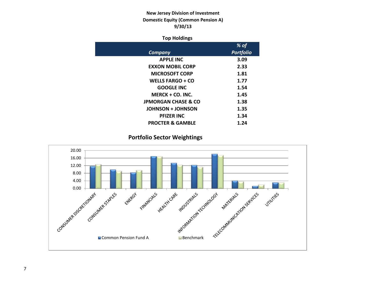# **New Jersey Division of Investment Domestic Equity (Common Pension A) 9/30/13**

## **Top Holdings**

|                                | % of             |
|--------------------------------|------------------|
| Company                        | <b>Portfolio</b> |
| <b>APPLE INC</b>               | 3.09             |
| <b>EXXON MOBIL CORP</b>        | 2.33             |
| <b>MICROSOFT CORP</b>          | 1.81             |
| <b>WELLS FARGO + CO</b>        | 1.77             |
| <b>GOOGLE INC</b>              | 1.54             |
| $MERCK + CO. INC.$             | 1.45             |
| <b>JPMORGAN CHASE &amp; CO</b> | 1.38             |
| <b>JOHNSON + JOHNSON</b>       | 1.35             |
| <b>PFIZER INC</b>              | 1.34             |
| <b>PROCTER &amp; GAMBLE</b>    | 1.24             |

**Portfolio Sector Weightings**

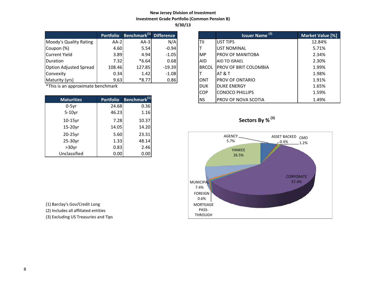## **New Jersey Division of Investment Investment Grade Portfolio (Common Pension B) 9/30/13**

|                               | <b>Portfolio</b> | Benchmark <sup>(1)</sup> Difference |          |              | Issuer Name <sup>(2)</sup>   | <b>Market Valu</b> |
|-------------------------------|------------------|-------------------------------------|----------|--------------|------------------------------|--------------------|
| Moody's Quality Rating        | $AA-2$           | $AA-3$                              | N/A      | ltii         | <b>IUST TIPS</b>             | 12.84%             |
| Coupon (%)                    | 4.60             | 5.54                                | $-0.94$  |              | <b>UST NOMINAL</b>           | 5.71%              |
| Current Yield                 | 3.89             | 4.94                                | $-1.05$  | <b>IMP</b>   | <b>PROV OF MANITOBA</b>      | 2.34%              |
| Duration                      | 7.32             | $*6.64$                             | 0.68     | <b>AID</b>   | <b>AID TO ISRAEL</b>         | 2.30%              |
| <b>Option Adjusted Spread</b> | 108.46           | 127.85                              | $-19.39$ | <b>BRCOL</b> | <b>PROV OF BRIT COLOMBIA</b> | 1.99%              |
| Convexity                     | 0.34             | 1.42                                | $-1.08$  |              | IAT & T                      | 1.98%              |
| Maturity (yrs)                | 9.63             | $*8.77$                             | 0.86     | <b>ONT</b>   | <b>PROV OF ONTARIO</b>       | 1.91%              |

 $*$ This is an approximate benchmark

| <b>Maturities</b> | <b>Portfolio</b> | Benchmark <sup>(1)</sup> |
|-------------------|------------------|--------------------------|
| $0-5yr$           | 24.68            | 0.36                     |
| $5-10$ yr         | 46.23            | 1.16                     |
| $10-15$ yr        | 7.28             | 10.37                    |
| 15-20yr           | 14.05            | 14.20                    |
| $20-25$ yr        | 5.60             | 23.31                    |
| 25-30yr           | 1.33             | 48.14                    |
| $>30$ yr          | 0.83             | 2.46                     |
| Unclassified      | 0.00             | 0.00                     |

(1) Barclay's Gov/Credit Long

(2) Includes all affiliated entities

(3) Excluding US Treasuries and Tips

|                          | <b>Portfolio</b> | Benchmark <sup>(1)</sup> Difference |          |              | Issuer Name <sup>(2)</sup>   | Market Value [%] |
|--------------------------|------------------|-------------------------------------|----------|--------------|------------------------------|------------------|
| 's Quality Rating        | $AA-2$           | $AA-3$                              | N/A      | lTII         | <b>UST TIPS</b>              | 12.84%           |
| າ (%)                    | 4.60             | 5.54                                | $-0.94$  |              | <b>UST NOMINAL</b>           | 5.71%            |
| t Yield                  | 3.89             | 4.94                                | $-1.05$  | MP.          | <b>PROV OF MANITOBA</b>      | 2.34%            |
| m                        | 7.32             | $*6.64$                             | 0.68     | AID.         | <b>AID TO ISRAEL</b>         | 2.30%            |
| <b>Adjusted Spread</b>   | 108.46           | 127.85                              | $-19.39$ | <b>BRCOL</b> | <b>PROV OF BRIT COLOMBIA</b> | 1.99%            |
| ity                      | 0.34             | 1.42                                | $-1.08$  |              | <b>AT &amp; T</b>            | 1.98%            |
| ty (yrs)                 | 9.63             | $*8.77$                             | 0.86     | <b>ONT</b>   | <b>PROV OF ONTARIO</b>       | 1.91%            |
| an approximate benchmark |                  |                                     |          | <b>DUK</b>   | <b>DUKE ENERGY</b>           | 1.65%            |
|                          |                  |                                     |          | <b>COP</b>   | <b>CONOCO PHILLIPS</b>       | 1.59%            |
| <b>Maturities</b>        | <b>Portfolio</b> | Benchmark <sup>(1)</sup>            |          | <b>INS</b>   | <b>PROV OF NOVA SCOTIA</b>   | 1.49%            |



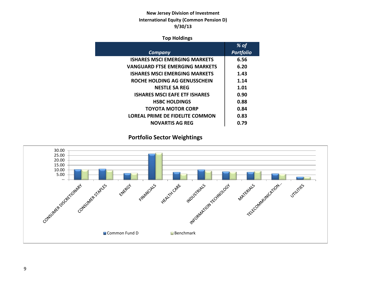# **New Jersey Division of Investment International Equity (Common Pension D) 9/30/13**

## **Top Holdings**

|                                       | % of             |
|---------------------------------------|------------------|
| Company                               | <b>Portfolio</b> |
| <b>ISHARES MSCI EMERGING MARKETS</b>  | 6.56             |
| <b>VANGUARD FTSE EMERGING MARKETS</b> | 6.20             |
| <b>ISHARES MSCI EMERGING MARKETS</b>  | 1.43             |
| ROCHE HOLDING AG GENUSSCHEIN          | 1.14             |
| <b>NESTLE SA REG</b>                  | 1.01             |
| <b>ISHARES MSCI EAFE ETF ISHARES</b>  | 0.90             |
| <b>HSBC HOLDINGS</b>                  | 0.88             |
| <b>TOYOTA MOTOR CORP</b>              | 0.84             |
| LOREAL PRIME DE FIDELITE COMMON       | 0.83             |
| <b>NOVARTIS AG REG</b>                | 0.79             |

**Portfolio Sector Weightings**

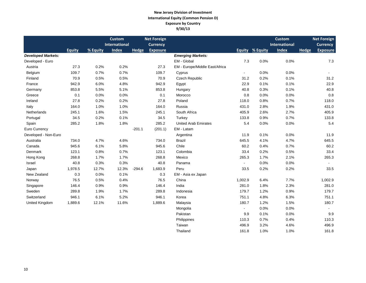#### **New Jersey Division of Investment International Equity (Common Pension D) Exposure by Country 9/30/13**

|                           |               |          | <b>Custom</b>        |          | <b>Net Foreign</b> |                                |                          |                        | <b>Custom</b>        |              | <b>Net Foreign</b> |
|---------------------------|---------------|----------|----------------------|----------|--------------------|--------------------------------|--------------------------|------------------------|----------------------|--------------|--------------------|
|                           |               |          | <b>International</b> |          | <b>Currency</b>    |                                |                          |                        | <b>International</b> |              | <b>Currency</b>    |
|                           | <b>Equity</b> | % Equity | <b>Index</b>         | Hedge    | <b>Exposure</b>    |                                |                          | <b>Equity % Equity</b> | <b>Index</b>         | <b>Hedge</b> | <b>Exposure</b>    |
| <b>Developed Markets:</b> |               |          |                      |          |                    | <b>Emerging Markets:</b>       |                          |                        |                      |              |                    |
| Developed - Euro          |               |          |                      |          |                    | EM - Global                    | 7.3                      | 0.0%                   | 0.0%                 |              | 7.3                |
| Austria                   | 27.3          | 0.2%     | 0.2%                 |          | 27.3               | EM - Europe/Middle East/Africa |                          |                        |                      |              |                    |
| Belgium                   | 109.7         | 0.7%     | 0.7%                 |          | 109.7              | Cyprus                         | $\overline{\phantom{a}}$ | 0.0%                   | 0.0%                 |              | $\blacksquare$     |
| Finland                   | 70.9          | 0.5%     | 0.5%                 |          | 70.9               | <b>Czech Republic</b>          | 31.2                     | 0.2%                   | 0.1%                 |              | 31.2               |
| France                    | 942.9         | 6.0%     | 4.8%                 |          | 942.9              | Egypt                          | 22.9                     | 0.1%                   | 0.1%                 |              | 22.9               |
| Germany                   | 853.8         | 5.5%     | 5.1%                 |          | 853.8              | Hungary                        | 40.8                     | 0.3%                   | 0.1%                 |              | 40.8               |
| Greece                    | 0.1           | 0.0%     | 0.0%                 |          | 0.1                | Morocco                        | 0.8                      | 0.0%                   | 0.0%                 |              | 0.8                |
| Ireland                   | 27.8          | 0.2%     | 0.2%                 |          | 27.8               | Poland                         | 118.0                    | 0.8%                   | 0.7%                 |              | 118.0              |
| Italy                     | 164.0         | 1.0%     | 1.0%                 |          | 164.0              | Russia                         | 431.0                    | 2.8%                   | 1.9%                 |              | 431.0              |
| Netherlands               | 245.1         | 1.6%     | 1.5%                 |          | 245.1              | South Africa                   | 405.9                    | 2.6%                   | 2.7%                 |              | 405.9              |
| Portugal                  | 34.5          | 0.2%     | 0.1%                 |          | 34.5               | Turkey                         | 133.8                    | 0.9%                   | 0.7%                 |              | 133.8              |
| Spain                     | 285.2         | 1.8%     | 1.8%                 |          | 285.2              | <b>United Arab Emirates</b>    | 5.4                      | 0.0%                   | 0.0%                 |              | 5.4                |
| Euro Currency             |               |          |                      | $-201.1$ | (201.1)            | EM - Latam                     |                          |                        |                      |              |                    |
| Developed - Non-Euro      |               |          |                      |          |                    | Argentina                      | 11.9                     | 0.1%                   | 0.0%                 |              | 11.9               |
| Australia                 | 734.0         | 4.7%     | 4.6%                 |          | 734.0              | <b>Brazil</b>                  | 645.5                    | 4.1%                   | 4.7%                 |              | 645.5              |
| Canada                    | 945.6         | 6.1%     | 5.8%                 |          | 945.6              | Chile                          | 60.2                     | 0.4%                   | 0.7%                 |              | 60.2               |
| Denmark                   | 123.1         | 0.8%     | 0.7%                 |          | 123.1              | Colombia                       | 33.4                     | 0.2%                   | 0.5%                 |              | 33.4               |
| Hong Kong                 | 268.8         | 1.7%     | 1.7%                 |          | 268.8              | Mexico                         | 265.3                    | 1.7%                   | 2.1%                 |              | 265.3              |
| Israel                    | 40.8          | 0.3%     | 0.3%                 |          | 40.8               | Panama                         | $\sim$                   | 0.0%                   | 0.0%                 |              |                    |
| Japan                     | 1,978.5       | 12.7%    | 12.3%                | $-294.6$ | 1,683.9            | Peru                           | 33.5                     | 0.2%                   | 0.2%                 |              | 33.5               |
| New Zealand               | 0.3           | 0.0%     | 0.1%                 |          | 0.3                | EM - Asia ex Japan             |                          |                        |                      |              |                    |
| Norway                    | 76.5          | 0.5%     | 0.4%                 |          | 76.5               | China                          | 1,002.9                  | 6.4%                   | 7.7%                 |              | 1,002.9            |
| Singapore                 | 146.4         | 0.9%     | 0.9%                 |          | 146.4              | India                          | 281.0                    | 1.8%                   | 2.3%                 |              | 281.0              |
| Sweden                    | 289.8         | 1.9%     | 1.7%                 |          | 289.8              | Indonesia                      | 179.7                    | 1.2%                   | 0.9%                 |              | 179.7              |
| Switzerland               | 946.1         | 6.1%     | 5.2%                 |          | 946.1              | Korea                          | 751.1                    | 4.8%                   | 6.3%                 |              | 751.1              |
| United Kingdom            | 1,889.6       | 12.1%    | 11.6%                |          | 1,889.6            | Malaysia                       | 180.7                    | 1.2%                   | 1.5%                 |              | 180.7              |
|                           |               |          |                      |          |                    | Mongolia                       | $\sim$                   | 0.0%                   | 0.0%                 |              |                    |
|                           |               |          |                      |          |                    | Pakistan                       | 9.9                      | 0.1%                   | 0.0%                 |              | 9.9                |
|                           |               |          |                      |          |                    | Philippines                    | 110.3                    | 0.7%                   | 0.4%                 |              | 110.3              |
|                           |               |          |                      |          |                    | Taiwan                         | 496.9                    | 3.2%                   | 4.6%                 |              | 496.9              |

Thailand 161.8 1.0% 1.0% 1.0% 161.8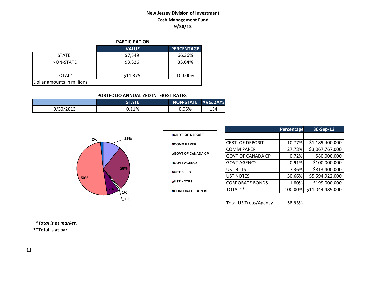# **New Jersey Division of Investment Cash Management Fund 9/30/13**

|                            | <b>PARTICIPATION</b> |                   |
|----------------------------|----------------------|-------------------|
|                            | <b>VALUE</b>         | <b>PERCENTAGE</b> |
| <b>STATE</b>               | \$7,549              | 66.36%            |
| NON-STATE                  | \$3,826              | 33.64%            |
| TOTAL*                     | \$11,375             | 100.00%           |
| Dollar amounts in millions |                      |                   |

#### **PORTFOLIO ANNUALIZED INTEREST RATES**

|           | STATE | NON-STATE AVG.DAYS |     |
|-----------|-------|--------------------|-----|
| 9/30/2013 | 0.11% | 0.05%              | 154 |



 *\*Total is at market.*

**\*\*Total is at par.**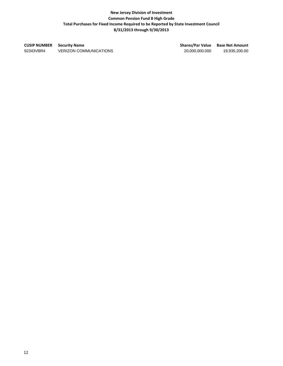## **New Jersey Division of Investment Common Pension Fund B High Grade Total Purchases for Fixed Income Required to be Reported by State Investment Council 8/31/2013 through 9/30/2013**

**CUSIP NUMBER Security Name Shares/Par Value Base Net Amount** 92343VBR4 VERIZON COMMUNICATIONS 20,000,000.000 19,935,200.00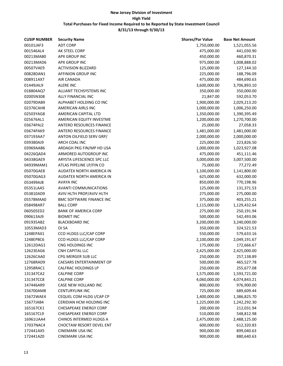| <b>CUSIP NUMBER</b> | <b>Security Name</b>            | <b>Shares/Par Value</b> | <b>Base Net Amount</b> |
|---------------------|---------------------------------|-------------------------|------------------------|
| 00101JAF3           | <b>ADT CORP</b>                 | 1,750,000.00            | 1,521,055.56           |
| 001546AL4           | AK STEEL CORP                   | 475,000.00              | 441,030.90             |
| 00213MAB0           | APX GROUP INC                   | 450,000.00              | 460,870.31             |
| 00213MAD6           | APX GROUP INC                   | 975,000.00              | 1,008,888.02           |
| 00507VAE9           | <b>ACTIVISION BLIZZARD</b>      | 125,000.00              | 127,144.10             |
| 00828DAN1           | AFFINION GROUP INC              | 225,000.00              | 188,796.09             |
| 008911AX7           | AIR CANADA                      | 475,000.00              | 484,690.63             |
| 01449JAL9           | <b>ALERE INC</b>                | 3,600,000.00            | 3,706,893.10           |
| 018804AQ7           | ALLIANT TECHSYSTEMS INC         | 350,000.00              | 350,000.00             |
| 02005N308           | ALLY FINANCIAL INC              | 21,847.00               | 592,053.70             |
| 02079DAB9           | ALPHABET HOLDING CO INC         | 1,900,000.00            | 2,029,213.20           |
| 02376CAH8           | AMERICAN AIRLS INC              | 1,000,000.00            | 1,006,250.00           |
| 02503YAG8           | AMERICAN CAPITAL LTD            | 1,350,000.00            | 1,390,395.49           |
| 025676AL1           | AMERICAN EQUITY INVESTME        | 1,200,000.00            | 1,270,700.00           |
| 03674PAJ2           | <b>ANTERO RESOURCES FINANCE</b> | 25,000.00               | 27,058.33              |
| 03674PAK9           | ANTERO RESOURCES FINANCE        | 1,481,000.00            | 1,481,000.00           |
| 037193AA7           | ANTON OILFIELD SERV GRP/        | 2,000,000.00            | 2,000,000.00           |
| 039380AJ9           | ARCH COAL INC                   | 225,000.00              | 223,826.50             |
| 03969AAB6           | ARDAGH PKG FIN/MP HD USA        | 1,000,000.00            | 1,023,927.08           |
| 04226QAD4           | ARMORED AUTOGROUP INC           | 475,000.00              | 451,111.46             |
| 04338GAE9           | ARYSTA LIFESCIENCE SPC LLC      | 3,000,000.00            | 3,007,500.00           |
| 04939MAM1           | ATLAS PIPELINE LP/FIN CO        | 75,000.00               | 77,272.49              |
| 05070GAE8           | AUDATEX NORTH AMERICA IN        | 1,100,000.00            | 1,141,800.00           |
| 05070GAG3           | AUDATEX NORTH AMERICA IN        | 625,000.00              | 632,000.00             |
| 053499AJ8           | AVAYA INC                       | 850,000.00              | 770,198.96             |
| 05351LAA5           | <b>AVANTI COMMUNICATIONS</b>    | 125,000.00              | 131,371.53             |
| 053810AD9           | AVIV HLTH PROP/AVIV HLTH        | 275,000.00              | 275,000.00             |
| 05578MAA0           | <b>BMC SOFTWARE FINANCE INC</b> | 375,000.00              | 403,255.21             |
| 058498AR7           | <b>BALL CORP</b>                | 1,115,000.00            | 1,129,432.64           |
| 060505ED2           | <b>BANK OF AMERICA CORP</b>     | 275,000.00              | 250,191.94             |
| 090613AJ9           | <b>BIOMET INC</b>               | 500,000.00              | 542,493.06             |
| 091935AB2           | <b>BLACKBOARD INC</b>           | 3,200,000.00            | 3,240,000.00           |
| 10553MAD3           | OI SA                           | 350,000.00              | 324,521.53             |
| 1248EPAX1           | CCO HLDGS LLC/CAP CORP          | 550,000.00              | 579,633.16             |
| 1248EPBC6           | CCO HLDGS LLC/CAP CORP          | 2,100,000.00            | 2,049,191.67           |
| 12612DAG1           | CNG HOLDINGS INC                | 175,000.00              | 172,666.67             |
| 12623EAG6           | CNH CAPITAL LLC                 | 2,425,000.00            | 2,425,000.00           |
| 12626CAA0           | CPG MERGER SUB LLC              | 250,000.00              | 257,138.89             |
| 12768RAD9           | <b>CAESARS ENTERTAINMENT OP</b> | 500,000.00              | 465,527.78             |
| 12958RAC1           | <b>CALFRAC HOLDINGS LP</b>      | 250,000.00              | 255,677.08             |
| 131347CA2           | <b>CALPINE CORP</b>             | 1,575,000.00            | 1,593,721.00           |
| 131347CC8           | <b>CALPINE CORP</b>             | 4,060,000.00            | 4,074,843.21           |
| 147446AR9           | CASE NEW HOLLAND INC            | 800,000.00              | 976,900.00             |
| 156700AM8           | <b>CENTURYLINK INC</b>          | 725,000.00              | 689,609.44             |
| 15672WAE4           | CEQUEL COM HLDG I/CAP CP        |                         |                        |
|                     | CERIDIAN HCM HOLDING INC        | 1,400,000.00            | 1,386,825.70           |
| 15677JAB4           |                                 | 1,225,000.00            | 1,242,292.30           |
| 165167CK1           | <b>CHESAPEAKE ENERGY CORP</b>   | 200,000.00              | 212,031.94             |
| 165167CL9           | <b>CHESAPEAKE ENERGY CORP</b>   | 510,000.00              | 548,812.98             |
| 16961UAA4           | CHINOS INTERMED HLDGS A         | 2,475,000.00            | 2,488,125.00           |
| 17037NAC4           | CHOCTAW RESORT DEVEL ENT        | 600,000.00              | 612,320.83             |
| 172441AX5           | <b>CINEMARK USA INC</b>         | 900,000.00              | 899,040.63             |
| 172441AZ0           | <b>CINEMARK USA INC</b>         | 900,000.00              | 880,640.63             |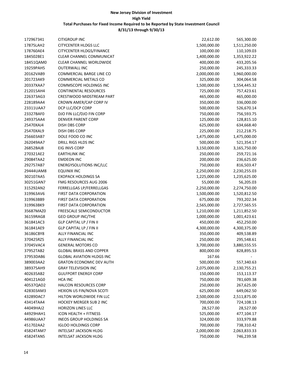| 172967341              | <b>CITIGROUP INC</b>             | 22,612.00                 | 565,300.00                |
|------------------------|----------------------------------|---------------------------|---------------------------|
| 17875LAH2              | <b>CITYCENTER HLDGS LLC</b>      | 1,500,000.00              | 1,511,250.00              |
| 178760AE4              | <b>CITYCENTER HLDGS/FINANCE</b>  | 100,000.00                | 110,109.03                |
| 184502BE1              | CLEAR CHANNEL COMMUNICAT         | 1,400,000.00              | 1,353,922.22              |
| 18451QAM0              | <b>CLEAR CHANNEL WORLDWIDE</b>   | 400,000.00                | 433,205.56                |
| 19259PAH5              | <b>OUTERWALL INC</b>             | 250,000.00                | 245,333.33                |
| 20162VAB9              | COMMERCIAL BARGE LINE CO         | 2,000,000.00              | 1,960,000.00              |
| 201723AK9              | COMMERCIAL METALS CO             | 325,000.00                | 304,064.58                |
| 20337XAA7              | COMMSCOPE HOLDINGS INC           | 1,500,000.00              | 1,554,445.32              |
| 212015AH4              | <b>CONTINENTAL RESOURCES</b>     | 725,000.00                | 757,423.61                |
| 226373AG3              | CRESTWOOD MIDSTREAM PART         | 465,000.00                | 465,000.00                |
| 228189AA4              | CROWN AMER/CAP CORP IV           | 350,000.00                | 336,000.00                |
| 23311UAA7              | DCP LLC/DCP CORP                 | 500,000.00                | 526,670.14                |
| 23327BAF0              | DJO FIN LLC/DJO FIN CORP         | 750,000.00                | 756,593.75                |
| 249375AA4              | <b>DENVER PARENT CORP</b>        | 125,000.00                | 128,815.10                |
| 25470XAJ4              | DISH DBS CORP                    | 625,000.00                | 634,668.40                |
| 25470XAL9              | DISH DBS CORP                    | 225,000.00                | 212,218.75                |
| 256603AB7              | DOLE FOOD CO INC                 | 1,475,000.00              | 1,475,000.00              |
| 262049AA7              | DRILL RIGS HLDS INC              | 500,000.00                | 521,354.17                |
| 26852BAJ8              | EIG INVS CORP                    | 3,150,000.00              | 3,165,750.00              |
| 270321AE2              | <b>EARTHLINK INC</b>             | 250,000.00                | 259,721.16                |
| 29084TAA2              | <b>EMDEON INC</b>                | 200,000.00                | 236,625.00                |
| 292757AB7              | <b>ENERGYSOLUTIONS INC/LLC</b>   | 750,000.00                | 816,503.47                |
| 29444UAM8              | <b>EQUINIX INC</b>               | 2,250,000.00              | 2,230,255.03              |
| 302107AA5              | <b>EXOPACK HOLDINGS SA</b>       |                           |                           |
| 30251GAN7              | FMG RESOURCES AUG 2006           | 1,225,000.00<br>55,000.00 | 1,235,625.00<br>56,205.03 |
|                        |                                  |                           |                           |
| 315292AN2<br>319963AV6 | FERRELLGAS LP/FERRELLGAS         | 2,250,000.00              | 2,274,750.00              |
|                        | FIRST DATA CORPORATION           | 1,500,000.00              | 1,520,812.50              |
| 319963BB9              | FIRST DATA CORPORATION           | 675,000.00                | 793,202.34                |
| 319963BK9              | FIRST DATA CORPORATION           | 2,565,000.00              | 2,727,565.55              |
| 35687MAZ0              | FREESCALE SEMICONDUCTOR          | 1,210,000.00              | 1,211,852.50              |
| 36159RAG8              | <b>GEO GROUP INC/THE</b>         | 1,000,000.00              | 1,001,423.61              |
| 361841AC3              | GLP CAPITAL LP / FIN II          | 450,000.00                | 452,250.00                |
| 361841AE9              | GLP CAPITAL LP / FIN II          | 4,300,000.00              | 4,300,375.00              |
| 36186CBY8              | ALLY FINANCIAL INC               | 350,000.00                | 409,538.89                |
| 370425RZ5              | ALLY FINANCIAL INC               | 250,000.00                | 295,548.61                |
| 37045VAC4              | <b>GENERAL MOTORS CO</b>         | 3,700,000.00              | 3,880,555.55              |
| 37952TAB2              | <b>GLOBAL BRASS AND COPPER</b>   | 800,000.00                | 828,895.53                |
| 37953DAB6              | <b>GLOBAL AVIATION HLDGS INC</b> | 167.66                    |                           |
| 389003AA2              | <b>GRATON ECONOMIC DEV AUTH</b>  | 500,000.00                | 557,340.63                |
| 389375AH9              | <b>GRAY TELEVISION INC</b>       | 2,075,000.00              | 2,130,755.21              |
| 402635AB2              | <b>GULFPORT ENERGY CORP</b>      | 150,000.00                | 153,113.37                |
| 404121AG0              | <b>HCA INC</b>                   | 750,000.00                | 781,609.38                |
| 40537QAD2              | HALCON RESOURCES CORP            | 250,000.00                | 267,625.00                |
| 428303AM3              | HEXION US FIN/NOVA SCOTI         | 625,000.00                | 649,062.50                |
| 43289DAC7              | HILTON WORLDWIDE FIN LLC         | 2,500,000.00              | 2,511,875.00              |
| 43414TAA4              | <b>HOCKEY MERGER SUB 2 INC</b>   | 700,000.00                | 724,108.13                |
| 44049HAJ2              | <b>HORIZON LINES LLC</b>         | 28,527.00                 | 28,527.00                 |
| 44929HAH1              | ICON HEALTH + FITNESS            | 525,000.00                | 477,104.17                |
| 44986UAA7              | <b>INEOS GROUP HOLDINGS SA</b>   | 324,000.00                | 333,979.88                |
| 451702AA2              | <b>IGLOO HOLDINGS CORP</b>       | 700,000.00                | 738,310.42                |
| 45824TAM7              | INTELSAT JACKSON HLDG            | 2,000,000.00              | 2,063,833.33              |
| 45824TAN5              | <b>INTELSAT JACKSON HLDG</b>     | 750,000.00                | 746,239.58                |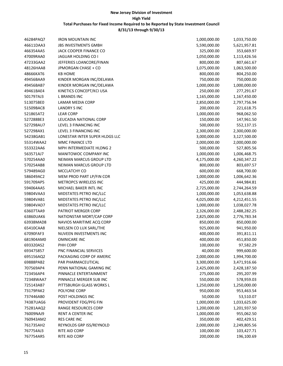| 46284PAQ7              | <b>IRON MOUNTAIN INC</b>       | 1,000,000.00 | 1,033,750.00 |
|------------------------|--------------------------------|--------------|--------------|
| 46611DAA3              | <b>JBS INVESTMENTS GMBH</b>    | 5,590,000.00 | 5,621,957.81 |
| 466354AA5              | JACK COOPER FINANCE CO         | 325,000.00   | 353,669.97   |
| 47009RAA0              | JAGUAR HOLDING CO I            | 1,050,000.00 | 1,113,426.56 |
| 47233GAA2              | JEFFERIES LOANCORE/FINAN       | 800,000.00   | 807,661.67   |
| 48126HAA8              | JPMORGAN CHASE + CO            | 1,075,000.00 | 1,063,500.00 |
| 48666KAT6              | <b>KB HOME</b>                 | 800,000.00   | 804,250.00   |
| 49456BAA9              | KINDER MORGAN INC/DELAWA       | 750,000.00   | 750,000.00   |
| 49456BAB7              | KINDER MORGAN INC/DELAWA       | 1,000,000.00 | 1,000,000.00 |
| 49461BAE4              | KINETICS CONCEPT/KCI USA       | 250,000.00   | 277,291.67   |
| 501797AJ3              | <b>L BRANDS INC</b>            | 1,165,000.00 | 1,167,450.00 |
| 513075BE0              | LAMAR MEDIA CORP               | 2,850,000.00 | 2,797,756.94 |
| 51509BAC8              | <b>LANDRY SINC</b>             | 200,000.00   | 221,618.75   |
| 521865AT2              | <b>LEAR CORP</b>               | 1,000,000.00 | 968,062.50   |
| 527288BE3              | LEUCADIA NATIONAL CORP         | 150,000.00   | 147,961.50   |
| 527298AU7              | LEVEL 3 FINANCING INC          | 500,000.00   | 552,137.15   |
| 527298AX1              | LEVEL 3 FINANCING INC          | 2,300,000.00 | 2,300,000.00 |
| 54238GAB1              | LONESTAR INTER SUPER HLDGS LLC | 3,000,000.00 | 3,127,500.00 |
| 55314WAA2              | MMC FINANCE LTD                | 2,000,000.00 | 2,000,000.00 |
| 553322AA6              | MPH INTERMEDIATE HLDNG 2       | 500,000.00   | 527,805.56   |
| 563571AJ7              | MANITOWOC COMPANY INC          | 1,000,000.00 | 1,006,468.75 |
| 570254AA0              | NEIMAN MARCUS GROUP LTD        | 4,175,000.00 | 4,260,347.22 |
| 570254AB8              | <b>NEIMAN MARCUS GROUP LTD</b> | 800,000.00   | 803,697.57   |
| 579489AG0              | MCCLATCHY CO                   | 600,000.00   | 668,700.00   |
| 586049AC2              | MEM PROD PART LP/FIN COR       | 1,000,000.00 | 1,006,642.36 |
| 591709AP5              | METROPCS WIRELESS INC          | 425,000.00   | 444,984.81   |
| 594064AA5              | MICHAEL BAKER INTL INC         | 2,725,000.00 | 2,744,264.59 |
| 59804VAA3              | MIDSTATES PETRO INC/LLC        | 1,000,000.00 | 1,053,638.88 |
| 59804VAB1              | MIDSTATES PETRO INC/LLC        | 4,025,000.00 | 4,212,451.55 |
| 59804VAD7              | MIDSTATES PETRO INC/LLC        | 1,000,000.00 | 1,038,027.78 |
| 63607TAA9              | PATRIOT MERGER CORP            | 2,326,000.00 | 2,488,282.25 |
| 63860UAK6              | NATIONSTAR MORT/CAP CORP       | 2,825,000.00 | 2,776,783.34 |
| 63938MAD8              | NAVIOS MARITIME ACQ CORP       | 850,000.00   | 850,000.00   |
| 65410CAA8              | NIELSEN CO LUX SARL/THE        | 925,000.00   | 941,950.00   |
| 67090FAF3              | NUVEEN INVESTMENTS INC         | 400,000.00   | 391,811.11   |
| 681904AM0              | <b>OMNICARE INC</b>            | 400,000.00   | 451,850.00   |
| 693320AS2              | PHH CORP                       | 100,000.00   | 97,582.29    |
| 693475857              | PNC FINANCIAL SERVICES         | 40,000.00    | 999,600.00   |
| 695156AQ2              | PACKAGING CORP OF AMERIC       | 2,000,000.00 | 1,994,700.00 |
| 69888PAB2              | PAR PHARMACEUTICAL             | 3,300,000.00 | 3,471,916.66 |
| 707569AP4              | PENN NATIONAL GAMING INC       | 2,425,000.00 | 2,428,187.50 |
| 723456AP4              | PINNACLE ENTERTAINMENT         | 275,000.00   | 295,207.99   |
| 72348WAA7              | PINNACLE MERGER SUB INC        | 550,000.00   | 578,959.03   |
| 725143AB7              | PITTSBURGH GLASS WORKS L       | 1,250,000.00 | 1,250,000.00 |
| 73179PAK2              | POLYONE CORP                   | 950,000.00   | 953,463.54   |
| 737446AB0              | POST HOLDINGS INC              | 50,000.00    | 53,510.07    |
| 74387UAG6              | PROVIDENT FDG/PFG FIN          | 1,000,000.00 | 1,033,625.00 |
| 75281AAQ2              | RANGE RESOURCES CORP           | 1,200,000.00 |              |
|                        | RENT A CENTER INC              |              | 1,201,937.50 |
| 76009NAJ9<br>760943AM2 | <b>RES CARE INC</b>            | 1,000,000.00 | 955,062.50   |
|                        |                                | 350,000.00   | 402,429.51   |
| 761735AH2              | REYNOLDS GRP ISS/REYNOLD       | 2,000,000.00 | 2,249,805.56 |
| 767754AJ3              | RITE AID CORP                  | 100,000.00   | 103,427.71   |
| 767754AR5              | RITE AID CORP                  | 200,000.00   | 196,100.69   |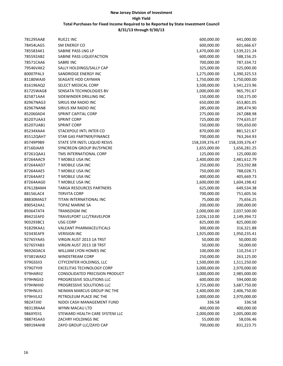| 781295AA8 | RUE21 INC                             | 600,000.00     | 441,000.00     |
|-----------|---------------------------------------|----------------|----------------|
| 78454LAG5 | SM ENERGY CO                          | 600,000.00     | 601,666.67     |
| 785583AK1 | SABINE PASS LNG LP                    | 1,470,000.00   | 1,539,221.24   |
| 785592AB2 | SABINE PASS LIQUEFACTION              | 600,000.00     | 588,156.25     |
| 78571CAA6 | SABRE INC                             | 700,000.00     | 787,334.72     |
| 79546VAK2 | SALLY HOLDINGS/SALLY CAP              | 325,000.00     | 325,000.00     |
| 80007PAL3 | SANDRIDGE ENERGY INC                  | 1,275,000.00   | 1,390,325.53   |
| 81180WAJ0 | SEAGATE HDD CAYMAN                    | 1,750,000.00   | 1,750,000.00   |
| 816196AQ2 | SELECT MEDICAL CORP                   | 3,500,000.00   | 3,541,223.96   |
| 81725WAG8 | SENSATA TECHNOLOGIES BV               | 1,000,000.00   | 965,791.67     |
| 825871AA4 | SIDEWINDER DRILLING INC               | 150,000.00     | 150,175.00     |
| 82967NAG3 | SIRIUS XM RADIO INC                   | 650,000.00     | 653,801.05     |
| 82967NAN8 | SIRIUS XM RADIO INC                   | 285,000.00     | 289,474.90     |
| 852060AD4 | SPRINT CAPITAL CORP                   | 275,000.00     | 267,088.98     |
| 85207UAA3 | <b>SPRINT CORP</b>                    | 725,000.00     | 774,635.07     |
| 85207UAB1 | <b>SPRINT CORP</b>                    | 550,000.00     | 595,650.00     |
| 85234XAA4 | STACKPOLE INTL INTER CO               | 870,000.00     | 881,521.67     |
| 85512QAH7 | STAR GAS PARTNER/FINANCE              | 700,000.00     | 763,264.93     |
| 85749P9B9 | STATE STR INSTL LIQUID RESVS          | 158,339,376.47 | 158,339,376.47 |
| 87160JAA9 | SYNCREON GROUP BV/SYNCRE              | 1,655,000.00   | 1,656,281.25   |
| 87261QAA1 | TMS INTERNATIONAL CORP                | 125,000.00     | 125,000.00     |
| 87264AAC9 | T MOBILE USA INC                      | 2,400,000.00   | 2,481,612.79   |
| 87264AAD7 | T MOBILE USA INC                      | 250,000.00     | 253,592.88     |
| 87264AAE5 | T MOBILE USA INC                      | 750,000.00     | 788,028.71     |
| 87264AAF2 | T MOBILE USA INC                      | 400,000.00     | 405,669.73     |
| 87264AAG0 | T MOBILE USA INC                      | 1,600,000.00   | 1,604,198.42   |
| 87612BAM4 | <b>TARGA RESOURCES PARTNERS</b>       | 625,000.00     | 649,534.38     |
| 88156LAC4 | <b>TERVITA CORP</b>                   | 700,000.00     | 751,605.56     |
| 88830MAG7 | TITAN INTERNATIONAL INC               | 75,000.00      | 75,656.25      |
| 890542AA1 | TOPAZ MARINE SA                       | 200,000.00     | 200,000.00     |
| 893647AT4 | TRANSDIGM INC                         | 2,000,000.00   | 2,037,500.00   |
| 89421EAF0 | TRAVELPORT LLC/TRAVELPOR              | 2,026,110.00   | 2,149,394.72   |
| 903293BC1 | <b>USG CORP</b>                       | 825,000.00     | 825,000.00     |
| 91829KAA1 | VALEANT PHARMACEUTICALS               | 300,000.00     | 316,321.88     |
| 92343EAF9 | <b>VERISIGN INC</b>                   | 1,925,000.00   | 1,950,235.41   |
| 92765YAA5 | VIRGIN AUST 2013 1A TRST              | 50,000.00      | 50,000.00      |
| 92765YAB3 | VIRGIN AUST 2013 1B TRST              | 50,000.00      | 50,000.00      |
| 96926DAC4 | WILLIAM LYON HOMES INC                | 100,000.00     | 110,254.17     |
| 97381WAX2 | <b>WINDSTREAM CORP</b>                | 250,000.00     | 263,125.00     |
| 979GSSII3 | CITYCENTER HOLDINGS, LLC              | 1,500,000.00   | 1,511,250.00   |
| 979GTYII9 | <b>EXCELITAS TECHNOLOGY CORP</b>      | 3,000,000.00   | 2,970,000.00   |
| 979HARII2 | <b>CONSOLIDATED PRECISION PRODUCT</b> | 3,000,000.00   | 2,985,000.00   |
| 979HNGII2 | PROGRESSIVE SOLUTIONS LLC             | 600,000.00     | 594,000.00     |
| 979HNHII0 | PROGRESSIVE SOLUTIONS LLC             | 3,725,000.00   | 3,687,750.00   |
| 979HNLII1 | NEIMAN MARCUS GROUP INC THE           | 2,400,000.00   | 2,406,750.00   |
| 979HVLII2 | PETROLEUM PLACE INC THE               | 3,000,000.00   | 2,970,000.00   |
| 982ATJII0 | NJDOI CASH MANAGEMENT FUND            | 336.58         | 336.58         |
| 98313RAA4 | WYNN MACAU LTD                        | 400,000.00     | 400,000.00     |
| 986XYEII1 | STEWARD HEALTH CARE SYSTEM LLC        | 2,000,000.00   | 2,005,000.00   |
| 988745AA3 | ZACHRY HOLDINGS INC                   | 55,000.00      | 58,036.46      |
| 989194AH8 | ZAYO GROUP LLC/ZAYO CAP               | 700,000.00     | 831,223.75     |
|           |                                       |                |                |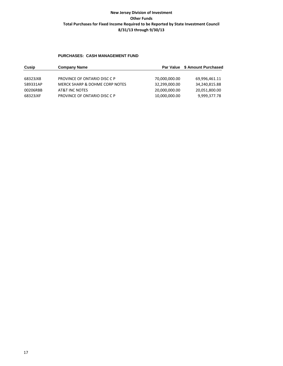#### **PURCHASES: CASH MANAGEMENT FUND**

| Cusip    | <b>Company Name</b>            |               | Par Value \$ Amount Purchased |
|----------|--------------------------------|---------------|-------------------------------|
|          |                                |               |                               |
| 68323JX8 | PROVINCE OF ONTARIO DISC C P   | 70,000,000.00 | 69,996,461.11                 |
| 589331AP | MERCK SHARP & DOHME CORP NOTES | 32,299,000.00 | 34,240,815.88                 |
| 00206RBB | AT&T INC NOTES                 | 20,000,000.00 | 20,051,800.00                 |
| 68323JXF | PROVINCE OF ONTARIO DISC C P   | 10,000,000.00 | 9,999,377.78                  |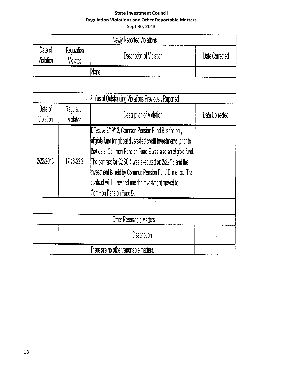# **State Investment Council Regulation Violations and Other Reportable Matters Sept 30, 2013**

|                      |                        | Newly Reported Violations                                                                                                                                                                                                                                                                                                                                                                           |                |
|----------------------|------------------------|-----------------------------------------------------------------------------------------------------------------------------------------------------------------------------------------------------------------------------------------------------------------------------------------------------------------------------------------------------------------------------------------------------|----------------|
| Date of<br>Violation | Regulation<br>Violated | Description of Violation                                                                                                                                                                                                                                                                                                                                                                            | Date Corrected |
|                      |                        | None                                                                                                                                                                                                                                                                                                                                                                                                |                |
|                      |                        |                                                                                                                                                                                                                                                                                                                                                                                                     |                |
|                      |                        | Status of Outstanding Violations Previously Reported                                                                                                                                                                                                                                                                                                                                                |                |
| Date of<br>Violation | Regulation<br>Violated | Description of Violation                                                                                                                                                                                                                                                                                                                                                                            | Date Corrected |
| 2/22/2013            | 17:16-23.3             | Effective 2/19/13, Common Pension Fund B is the only<br>eligible fund for global diversified credit investments; prior to<br>that date, Common Pension Fund E was also an eligible fund.<br>The contract for OZSC II was executed on 2/22/13 and the<br>investment is held by Common Pension Fund E in error. The<br>contract will be revised and the investment moved to<br>Common Pension Fund B. |                |
|                      |                        |                                                                                                                                                                                                                                                                                                                                                                                                     |                |
|                      |                        | Other Reportable Matters                                                                                                                                                                                                                                                                                                                                                                            |                |
|                      |                        | Description                                                                                                                                                                                                                                                                                                                                                                                         |                |
|                      |                        | There are no other reportable matters.                                                                                                                                                                                                                                                                                                                                                              |                |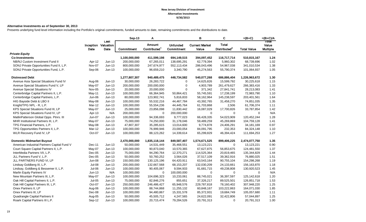#### **New Jersey Division of Investment Alternative Investments 9/30/2013**

#### **Alternative Investments as of September 30, 2013**

Presents underlying fund level information including the Portfolio's original commitments, funded amounts to date, remaining commitments and the distributions to date.

|                                             |          |                             | Sep-13        | Α                        |                 | в                     | C                        | $=(B+C)$           | $=(B+C)/A$                                                       |
|---------------------------------------------|----------|-----------------------------|---------------|--------------------------|-----------------|-----------------------|--------------------------|--------------------|------------------------------------------------------------------|
|                                             |          | Last<br>Inception Valuation |               | Amount                   | <b>Unfunded</b> | <b>Current Market</b> | <b>Total</b>             |                    | $\overline{\phantom{a}}$ rotar $\overline{\phantom{a}}$<br>Value |
|                                             | Date     | Date                        | Commitment    | Contributed <sup>1</sup> | Commitment      | Value                 | Distributed <sup>2</sup> | <b>Total Value</b> | <b>Multiple</b>                                                  |
| <b>Private Equity</b>                       |          |                             |               |                          |                 |                       |                          |                    |                                                                  |
| <b>Co-Investments</b>                       |          |                             | 1,100,000,000 | 411,599,198              | 694,149,515     | 394,097,452           | 116,717,714              | 510,815,167        | 1.24                                                             |
| NB/NJ Custom Investment Fund II             | Apr-12   | $Jun-13$                    | 200,000,000   | 67,265,011               | 138,695,291     | 62,779,394            | 5,960,302                | 68,739,696         | 1.02                                                             |
| SONJ Private Opportunities Fund II, L.P.    | Nov-07   | $Jun-13$                    | 800,000,000   | 247,674,977              | 552,113,434     | 286,043,496           | 54,967,038               | 341,010,534        | 1.38                                                             |
| SONJ Private Opportunities Fund, L.P.       | Sep-06   | $Jun-13$                    | 100,000,000   | 96,659,210               | 3,340,790       | 45,274,563            | 55,790,374               | 101,064,937        | 1.05                                                             |
| <b>Distressed Debt</b>                      |          |                             | 1,277,807,307 | 940,489,475              | 448,734,582     | 540,077,268           | 686,886,404              | 1,226,963,672      | 1.30                                                             |
| Avenue Asia Special Situations Fund IV      | Aug-06   | $Jun-13$                    | 30,000,000    | 26,283,722               | 0               | 14,625,826            | 15,599,792               | 30,225,618         | 1.15                                                             |
| Avenue Special Situations Fund V, LP        | May-07   | $Jun-13$                    | 200,000,000   | 200,000,000              | 0               | 4,903,789             | 261,479,627              | 266,383,416        | 1.33                                                             |
| Avenue Special Situations IV                | Nov-05   | $Jun-13$                    | 20,000,000    | 20,000,000               | $\mathbf 0$     | 371,342               | 27,841,741               | 28,213,083         | 1.41                                                             |
| Centerbridge Capital Partners II, L.P.      | May-11   | $Jun-13$                    | 100,000,000   | 66,364,945               | 50,864,421      | 55,745,591            | 17,238,199               | 72,983,790         | 1.10                                                             |
| Centerbridge Capital Partners, L.P.         | Jun-06   | $Jun-13$                    | 80,000,000    | 123,902,741              | 5,816,833       | 58,162,964            | 145,238,597              | 203,401,561        | 1.64                                                             |
| HIG Bayside Debt & LBO II                   | May-08   | $Jun-13$                    | 100,000,000   | 55,532,216               | 44,467,784      | 43,392,765            | 31,458,270               | 74,851,035         | 1.35                                                             |
| Knight/TPG NPL - R, L.P.                    | Mar-12   | $Jun-13$                    | 100,000,000   | 55,554,236               | 44,445,764      | 61,703,868            | 2,506                    | 61,706,374         | 1.11                                                             |
| KPS Special Situations Fund III, LP         | May-07   | $Jun-13$                    | 25,000,000    | 23,856,098               | 11,830,442      | 16,087,029            | 17,700,826               | 33,787,854         | 1.42                                                             |
| KPS Special Situations Fund IV, LP          | Apr-13   | N/A                         | 200,000,000   | $\mathbf 0$              | 200,000,000     | $\mathbf 0$           | $\Omega$                 | $\Omega$           | N/A                                                              |
| MatlinPatterson Global Opps. Ptnrs. III     | Jun-07   | $Jun-13$                    | 100,000,000   | 94,336,693               | 9,777,023       | 66,428,335            | 54,023,909               | 120,452,244        | 1.28                                                             |
| MHR Institutional Partners III, L.P.        | May-07   | $Jun-13$                    | 75,000,000    | 74,250,000               | 31,178,046      | 59,489,259            | 45,269,869               | 104,759,128        | 1.41                                                             |
| TPG Financial Partners, L.P.                | May-08   | $Jun-13$                    | 47,807,307    | 35,285,615               | 13,014,600      | 9,774,878             | 24,406,291               | 34, 181, 169       | 0.97                                                             |
| TPG Opportunities Partners II, L.P.         | Mar-12   | $Jun-13$                    | 100,000,000   | 76,999,946               | 23,000,054      | 84,091,795            | 232,353                  | 84,324,148         | 1.10                                                             |
| WLR Recovery Fund IV, LP                    | Oct-07   | $Jun-13$                    | 100,000,000   | 88,123,262               | 14,339,614      | 65,299,829            | 46,394,424               | 111,694,253        | 1.27                                                             |
| <b>Domestic Midmarket Buyout</b>            |          |                             | 2,470,000,000 | 1,835,118,144            | 849,587,407     | 1,574,671,525         | 899,406,225              | 2,474,077,750      | 1.35                                                             |
| American Industrial Partners Capital Fund V | Dec-11   | $Jun-13$                    | 50,000,000    | 14,531,449               | 35,468,551      | 13,123,221            | $\mathbf 0$              | 13,123,221         | 0.90                                                             |
| Court Square Capital Partners II, L.P.      | May-07   | $Jun-13$                    | 100,000,000   | 90,873,040               | 10,570,365      | 67,627,875            | 56,853,675               | 124,481,550        | 1.37                                                             |
| InterMedia Partners VII, L.P.               | Dec-05   | $Jun-13$                    | 75,000,000    | 94,290,764               | 12,370,271      | 114,525,364           | 20,819,465               | 135,344,829        | 1.44                                                             |
| JLL Partners Fund V, L.P.                   | Dec-05   | $Jun-13$                    | 50,000,000    | 50,760,252               | 3,564,026       | 37,517,109            | 39,362,916               | 76,880,025         | 1.51                                                             |
| JLL PARTNERS FUND VI, LP                    | Jun-08   | $Jun-13$                    | 150,000,000   | 130, 125, 196            | 64,420,911      | 63,543,164            | 90,755,104               | 154,298,268        | 1.19                                                             |
| Lindsay Goldberg III, L.P.                  | Jul-08   | $Jun-13$                    | 200,000,000   | 132,667,568              | 68,153,207      | 132,030,209           | 24,133,661               | 156,163,870        | 1.18                                                             |
| Lindsay, Goldberg & Bessemer II, L.P.       | Jul-06   | $Jun-13$                    | 100,000,000   | 90,405,067               | 9,594,933       | 81,681,715            | 49,238,808               | 130,920,523        | 1.45                                                             |
| Marlin Equity Partners IV                   | $Jun-13$ | N/A                         | 100,000,000   | $\mathbf 0$              | 100,000,000     | $\mathbf 0$           | $\mathbf 0$              | $\Omega$           | N/A                                                              |
| New Mountain Partners III, L.P.             | May-07   | $Jun-13$                    | 100,000,000   | 104,696,323              | 10,233,061      | 88,745,021            | 36,397,597               | 125,142,618        | 1.20                                                             |
| Oak Hill Capital Partners II, L.P.          | $Jul-05$ | $Jun-13$                    | 75,000,000    | 82,846,276               | 855,651         | 37,326,217            | 89,525,501               | 126,851,718        | 1.53                                                             |
| Oak Hill Capital Partners III, L.P.         | Oct-07   | $Jun-13$                    | 250,000,000   | 246,486,427              | 65,948,576      | 229,787,818           | 78,160,402               | 307,948,220        | 1.25                                                             |
| Onex Partners II, LP                        | Aug-06   | $Jun-13$                    | 100,000,000   | 88,744,868               | 11,255,132      | 60,848,167            | 103,222,863              | 164,071,030        | 1.85                                                             |
| Onex Partners III, LP                       | Dec-08   | $Jun-13$                    | 100,000,000   | 94,480,867               | 15,331,578      | 85,372,931            | 19,684,749               | 105,057,680        | 1.11                                                             |
| Quadrangle Capital Partners II              | Aug-05   | $Jun-13$                    | 50,000,000    | 45,505,712               | 4,247,565       | 24,622,091            | 32,422,806               | 57,044,897         | 1.25                                                             |
| Roark Capital Partners III L.P.             | Sep-12   | $Jun-13$                    | 100,000,000   | 20,715,474               | 79,284,526      | 20,791,313            | $\Omega$                 | 20,791,313         | 1.00                                                             |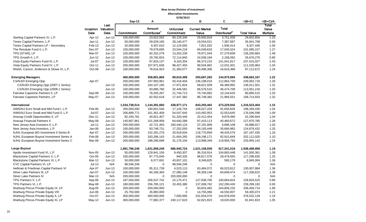#### **New Jersey Division of Investment Alternative Investments 9/30/2013**

|                                          |          |                                     |                   |                                           | <b>JIJUILULJ</b>              |                                |                                          |                    |                                   |
|------------------------------------------|----------|-------------------------------------|-------------------|-------------------------------------------|-------------------------------|--------------------------------|------------------------------------------|--------------------|-----------------------------------|
|                                          |          |                                     | $Sep-13$          | A                                         |                               | в                              | C                                        | $=(B+C)$           | $=(B+C)/A$                        |
|                                          | Date     | Last<br>Inception Valuation<br>Date | <b>Commitment</b> | <b>Amount</b><br>Contributed <sup>1</sup> | <b>Unfunded</b><br>Commitment | <b>Current Market</b><br>Value | <b>Total</b><br>Distributed <sup>2</sup> | <b>Total Value</b> | Total<br>Value<br><b>Multiple</b> |
| Sterling Capital Partners IV, L.P.       | Apr-12   | $Jun-13$                            | 100,000,000       | 23,622,592                                | 80,129,346                    | 25,850,918                     | 3,751,938                                | 29,602,856         | 1.25                              |
| Tenex Capital Partners, L.P.             | $Jan-11$ | $Jun-13$                            | 50,000,000        | 29,029,165                                | 28,140,477                    | 19,554,021                     | 7,387,687                                | 26,941,708         | 0.93                              |
| Tenex Capital Partners LP - Secondary    | Feb-13   | $Jun-13$                            | 20,000,000        | 9,307,610                                 | 12,124,055                    | 7,821,032                      | 1,506,414                                | 9,327,446          | 1.00                              |
| The Resolute Fund II, L.P.               | Dec-07   | Jun-13                              | 100,000,000       | 79,579,695                                | 23,544,218                    | 84,049,633                     | 17,045,524                               | 101,095,157        | 1.27                              |
| TPG [STAR], LP                           | Mar-07   | $Jun-13$                            | 100,000,000       | 92,252,279                                | 13,262,236                    | 78,971,044                     | 57,279,839                               | 136,250,883        | 1.48                              |
| TPG Growth II, L.P.                      | $Jun-12$ | $Jun-13$                            | 100,000,000       | 29,792,824                                | 72,114,840                    | 24,508,184                     | 2,168,092                                | 26,676,276         | 0.90                              |
| Vista Equity Partners Fund III, L.P.     | Jul-07   | $Jun-13$                            | 100,000,000       | 97,816,137                                | 9,163,354                     | 96,373,210                     | 141,041,817                              | 237,415,027        | 2.43                              |
| Vista Equity Partners Fund IV, L.P.      | Oct-11   | $Jun-13$                            | 200,000,000       | 107,971,636                               | 98,427,450                    | 99,504,962                     | 12,031,001                               | 111,535,963        | 1.03                              |
| Welsh, Carson, Anderson & Stowe XI, L.P. | Oct-08   | $Jun-13$                            | 100,000,000       | 78,616,923                                | 21,383,077                    | 80,496,306                     | 16,616,366                               | 97,112,672         | 1.24                              |
| <b>Emerging Managers</b>                 |          |                                     | 400,000,000       | 358,801,866                               | 89,610,499                    | 293,687,283                    | 144,975,884                              | 438,663,167        | 1.22                              |
| CS/NJDI Emerging Opp                     | Apr-07   |                                     | 200,000,000       | 197,993,961                               | 50,418,404                    | 136,198,019                    | 112,864,700                              | 249,062,719        | 1.26                              |
| CS/NJDI Emerging Opp (2007-1 Series)     |          | $Jun-13$                            | 100,000,000       | 104, 107, 195                             | 17,971,824                    | 69,621,509                     | 66,389,992                               | 136,011,501        | 1.31                              |
| CS/NJDI Emerging Opp (2008-1 Series)     |          | $Jun-13$                            | 100,000,000       | 93,886,766                                | 32,446,581                    | 66,576,510                     | 46,474,708                               | 113,051,218        | 1.20                              |
| Fairview Capstone Partners II, LP        | Sep-08   | $Jun-13$                            | 100,000,000       | 78,255,287                                | 21,744,713                    | 70,740,882                     | 10,144,633                               | 80,885,515         | 1.03                              |
| Fairview Capstone Partners, LP           | May-07   | $Jun-13$                            | 100,000,000       | 82,552,618                                | 17,447,382                    | 86,748,382                     | 21,966,551                               | 108,714,933        | 1.32                              |
| International                            |          |                                     | 1,534,738,514     | 1,144,391,660                             | 438,977,171                   | 843,293,462                    | 473,229,942                              | 1,316,523,404      | 1.15                              |
| AIMS/NJ Euro Small and Mid Fund I, L.P.  | Feb-06   | $Jun-13$                            | 200,000,000       | 190,601,546                               | 17,126,744                    | 106,627,204                    | 91,656,826                               | 198,284,030        | 1.04                              |
| AIMS/NJ Euro Small and Mid Fund II, L.P. | Jul-07   | $Jun-13$                            | 206,689,771       | 161,361,409                               | 54,547,645                    | 143,492,953                    | 32,553,645                               | 176,046,598        | 1.09                              |
| Anacap Credit Opportunities II, LP       | Dec-11   | $Jun-13$                            | 82,240,781        | 40,821,407                                | 51,320,446                    | 32,412,454                     | 9,878,490                                | 42,290,944         | 1.04                              |
| Anacap Financial Partners II             | May-08   | $Jun-13$                            | 145,807,961       | 101,268,958                               | 64,640,288                    | 87,410,113                     | 40,460,672                               | 127,870,785        | 1.26                              |
| New Jersey Asia Investors II, L.P.       | $Jul-11$ | $Jun-13$                            | 200,000,000       | 42,721,493                                | 160,440,124                   | 37,191,909                     | 6,696,108                                | 43,888,017         | 1.03                              |
| New Jersey Asia Investors, L.P.          | Jan-08   | $Jun-13$                            | 100,000,000       | 93,748,731                                | 17,202,050                    | 94,193,449                     | 30,684,983                               | 124,878,432        | 1.33                              |
| NJHL European BO Investment II Series B  | Apr-07   | $Jun-13$                            | 200,000,000       | 142,291,276                               | 20,919,504                    | 118,770,859                    | 48,426,576                               | 167, 197, 435      | 1.18                              |
| NJHL European Buyout Investment Series A | Feb-06   | $Jun-13$                            | 200,000,000       | 183,286,143                               | 21,604,265                    | 109,196,171                    | 92,915,849                               | 202,112,020        | 1.10                              |
| NJHL European Buyout Investment Series C | Mar-08   | $Jun-13$                            | 200,000,000       | 188,290,698                               | 31,176,104                    | 113,998,349                    | 119,956,793                              | 233,955,142        | 1.24                              |
| Large Buyout                             |          |                                     | 1,991,796,246     | 1,631,858,249                             | 686,945,724                   | 1,021,158,939                  | 917,341,019                              | 1,938,499,958      | 1.19                              |
| Apollo Investment Fund VI, L.P.          | Nov-05   | $Jun-13$                            | 50,000,000        | 129,941,156                               | 9,450,307                     | 36,316,914                     | 104,683,448                              | 141,000,361        | 1.09                              |
| Blackstone Capital Partners V, L.P.      | $Oct-05$ | $Jun-13$                            | 100,000,000       | 97,773,040                                | 940,335                       | 88,817,076                     | 28,479,555                               | 117,296,630        | 1.20                              |
| Blackstone Capital Partners VI, L.P.     | Mar-12   | $Jun-13$                            | 50,000,000        | 6,577,691                                 | 43,657,101                    | 8,349,825                      | 595,178                                  | 8,945,004          | 1.36                              |
| CVC Capital Partners VI, LP              | $Jul-13$ | N/A                                 | 98,546,246        | $\mathbf 0$                               | 98,546,246                    | $\mathbf 0$                    | $\mathbf 0$                              | $\Omega$           | N/A                               |
| Hellman & Friedman Capital Partners VI   | Apr-07   | $Jun-13$                            | 100,000,000       | 95,311,739                                | 4,523,113                     | 63,484,072                     | 66,523,812                               | 130,007,884        | 1.36                              |
| Silver Lake Partners III, LP             | Jan-07   | $Jun-13$                            | 100,000,000       | 84,166,383                                | 27,080,149                    | 56,359,148                     | 60,849,474                               | 117,208,622        | 1.39                              |
| Silver Lake Partners IV                  | Mar-13   | N/A                                 | 200,000,000       | $\mathbf 0$                               | 200,000,000                   | $\mathbf 0$                    | $\mathbf 0$                              | $\mathbf 0$        | N/A                               |
| TPG Partners V, L.P.                     | Sep-06   | $Jun-13$                            | 187,500,000       | 256,537,742                               | 22,175,471                    | 127,938,700                    | 100,664,824                              | 228,603,525        | 0.89                              |
| TPG Partners VI, L.P.                    | May-08   | $Jun-13$                            | 180,000,000       | 256,785,121                               | 33,455,380                    | 137,008,762                    | 102,290,430                              | 239,299,192        | 0.93                              |
| Warburg Pincus Private Equity IX, LP     | Aug-05   | $Jun-13$                            | 200,000,000       | 200,000,000                               | 0                             | 93,653,482                     | 244,806,232                              | 338,459,714        | 1.69                              |
| Warburg Pincus Private Equity VIII       | Jun-06   | $Jun-13$                            | 25,750,000        | 26,883,000                                | $\mathbf 0$                   | 14,755,066                     | 44,550,007                               | 59,305,073         | 2.21                              |
| Warburg Pincus Private Equity X, LP      | Oct-07   | $Jun-13$                            | 400,000,000       | 400,000,000                               | 7,000,000                     | 331,654,070                    | 144,878,059                              | 476,532,129        | 1.19                              |
| Warburg Pincus Private Equity XI, LP     | May-12   | $Jun-13$                            | 300,000,000       | 77,882,377                                | 240,117,623                   | 62,821,823                     | 19,020,000                               | 81,841,823         | 1.05                              |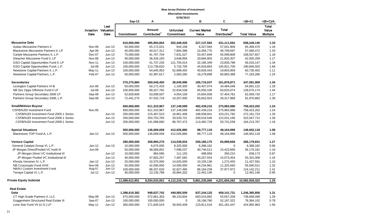#### **New Jersey Division of Investment Alternative Investments**

**9/30/2013**

|                                         |               |                                     | $Sep-13$       | Α                                         |                               | в                              | C                                        | $=(B+C)$           | $=(B+C)/A$                        |
|-----------------------------------------|---------------|-------------------------------------|----------------|-------------------------------------------|-------------------------------|--------------------------------|------------------------------------------|--------------------|-----------------------------------|
|                                         | Date          | Last<br>Inception Valuation<br>Date | Commitment     | <b>Amount</b><br>Contributed <sup>1</sup> | <b>Unfunded</b><br>Commitment | <b>Current Market</b><br>Value | <b>Total</b><br>Distributed <sup>2</sup> | <b>Total Value</b> | Total<br>Value<br><b>Multiple</b> |
| <b>Mezzanine Debt</b>                   |               |                                     | 610,000,000    | 495,893,664                               | 202,449,426                   | 227, 137, 583                  | 431,111,562                              | 658,249,145        | 1.33                              |
| <b>Audax Mezzanine Partners II</b>      | Nov-06        | $Jun-13$                            | 50,000,000     | 55,172,031                                | 644,158                       | 8,327,564                      | 57,041,906                               | 65,369,470         | 1.18                              |
| Blackstone Mezzanine Partners II, LP    | Apr-06        | $Jun-13$                            | 45,000,000     | 40,017,311                                | 7,804,388                     | 10,356,775                     | 46,709,697                               | 57,066,472         | 1.43                              |
| Carlyle Mezzanine Partners II, L.P.     | Dec-07        | $Jun-13$                            | 75,000,000     | 91,767,704                                | 7,631,527                     | 53,457,849                     | 55,099,808                               | 108,557,657        | 1.18                              |
| Gleacher Mezzanine Fund II, LP          | Nov-06        | $Jun-13$                            | 40,000,000     | 36,426,193                                | 3,648,894                     | 20,684,903                     | 21,820,307                               | 42,505,209         | 1.17                              |
| GSO Capital Opportunities Fund II, LP   | <b>Nov-11</b> | $Jun-13$                            | 150,000,000    | 41,737,235                                | 121,705,014                   | 32, 185, 349                   | 23,830,798                               | 56,016,147         | 1.34                              |
| GSO Capital Opportunities Fund, L.P.    | Jul-08        | $Jun-13$                            | 100,000,000    | 113,739,620                               | 5,732,705                     | 44,918,803                     | 145,921,700                              | 190,840,503        | 1.68                              |
| Newstone Capital Partners II, L.P.      | May-11        | $Jun-13$                            | 100,000,000    | 54,645,953                                | 52,699,455                    | 40,926,443                     | 19,803,959                               | 60,730,402         | 1.11                              |
| Newstone Capital Partners, L.P.         | Feb-07        | $Jun-13$                            | 50,000,000     | 62,387,617                                | 2,583,285                     | 16,279,898                     | 60,883,388                               | 77,163,286         | 1.24                              |
| <b>Secondaries</b>                      |               |                                     | 275,270,884    | 260,040,450                               | 38,045,996                    | 185,715,037                    | 161,876,871                              | 347,591,909        | 1.34                              |
| Lexington Capital Partners VI-B         | Jun-06        | $Jun-13$                            | 50,000,000     | 50,171,433                                | 1,100,300                     | 30,407,074                     | 34,484,048                               | 64,891,122         | 1.29                              |
| NB Sec Opps Offshore Fund II LP         | Jul-08        | $Jun-13$                            | 100,000,000    | 89,327,792                                | 22,634,538                    | 65,050,100                     | 63,620,074                               | 128,670,174        | 1.44                              |
| Partners Group Secondary 2006 LP        | Sep-06        | $Jun-13$                            | 52,829,609     | 53,008,507                                | 4,054,158                     | 24,604,939                     | 37,454,781                               | 62,059,720         | 1.17                              |
| Partners Group Secondary 2008, L.P.     | Sep-08        | $Jun-13$                            | 72,441,275     | 67,532,719                                | 10,257,000                    | 65,652,924                     | 26,317,968                               | 91,970,892         | 1.36                              |
| <b>Small/Midsize Buyout</b>             |               |                                     | 650,000,000    | 611,310,967                               | 137,149,599                   | 482,439,216                    | 275,983,986                              | 758,423,202        | 1.24                              |
| <b>CSFB/NJDI Investment Fund</b>        | Nov-05        |                                     | 650,000,000    | 611,310,967                               | 137,149,599                   | 482,439,216                    | 275,983,986                              | 758,423,202        | 1.24                              |
| CSFB/NJDI Investment Fund 2005-1 Series |               | $Jun-13$                            | 200,000,000    | 215,467,523                               | 16,861,406                    | 168,939,941                    | 103,221,782                              | 272,161,723        | 1.26                              |
| CSFB/NJDI Investment Fund 2006-1 Series |               | $Jun-13$                            | 250,000,000    | 254,753,783                               | 33,520,721                    | 200,016,546                    | 122,031,166                              | 322,047,712        | 1.26                              |
| CSFB/NJDI Investment Fund 2008-1 Series |               | $Jun-13$                            | 200,000,000    | 141,089,660                               | 86,767,472                    | 113,482,729                    | 50,731,038                               | 164,213,767        | 1.16                              |
| <b>Special Situations</b>               |               |                                     | 500,000,000    | 136,069,058                               | 412,026,880                   | 98,777,119                     | 48,164,998                               | 146,942,118        | 1.08                              |
| Blackstone TOP Fund-A, L.P.             | $Jan-12$      | $Jun-13$                            | 500,000,000    | 136,069,058                               | 412,026,880                   | 98,777,119                     | 48,164,998                               | 146,942,118        | 1.08                              |
| <b>Venture Capital</b>                  |               |                                     | 280,000,000    | 208,960,270                               | 114,539,934                   | 200,180,175                    | 65,999,656                               | 266,179,831        | 1.27                              |
| General Catalyst Group VI, L.P.         | $Jan-12$      | $Jun-13$                            | 15,000,000     | 6,675,000                                 | 8,325,000                     | 6,388,182                      | 0                                        | 6,388,182          | 0.96                              |
| JP Morgan Direct/Pooled VC Instit III   | Jun-06        |                                     | 50,000,000     | 48,566,852                                | 7,598,237                     | 40,746,512                     | 15,423,669                               | 56,170,181         | 1.16                              |
| JP Morgan Direct VC Institutional III   |               | $Jun-13$                            | 10,000,000     | 964,595                                   | 111,155                       | 488,958                        | 350,215                                  | 839,173            | 0.87                              |
| JP Morgan Pooled VC Institutional III   |               | $Jun-13$                            | 40,000,000     | 47,602,257                                | 7,487,082                     | 40,257,554                     | 15,073,454                               | 55,331,008         | 1.16                              |
| Khosla Venutres IV, L.P.                | $Jan-12$      | $Jun-13$                            | 25,000,000     | 10,375,000                                | 14,625,000                    | 10,155,136                     | 1,272,455                                | 11,427,591         | 1.10                              |
| NB Crossroads Fund XVIII                | Nov-06        | $Jun-13$                            | 50,000,000     | 42,000,000                                | 14,500,000                    | 44,234,961                     | 11,325,560                               | 55,560,521         | 1.32                              |
| NB/NJ Custom Investment Fund            | Aug-07        | $Jun-13$                            | 100.000.000    | 88.207.620                                | 42.627.495                    | 86.164.239                     | 37.977.972                               | 124.142.211        | 1.41                              |
| Tenaya Capital VI, L.P.                 | Jul-12        | $Jun-13$                            | 40,000,000     | 13,135,798                                | 26,864,202                    | 12,491,146                     | 0                                        | 12,491,146         | 0.95                              |
| <b>Private Equity Subtotal</b>          |               |                                     | 11,089,612,951 | 8,034,533,001                             | 4,112,216,732                 | 5,861,235,060                  | 4,221,694,262                            | 10,082,929,322     | 1.25                              |
| <b>Real Estate</b>                      |               |                                     |                |                                           |                               |                                |                                          |                    |                                   |
| <b>Debt</b>                             |               |                                     | 1,398,619,382  | 948,637,742                               | 449,565,509                   | 837,244,125                    | 409,141,731                              | 1,246,385,856      | 1.31                              |
| CT High Grade Partners II, LLC          | May-08        | $Jun-13$                            | 675,000,000    | 572,861,303                               | 99,133,604                    | 683,010,892                    | 55,657,208                               | 738,668,099        | 1.29                              |
| Guggenheim Structured Real Estate III   | Sep-07        | $Jun-13$                            | 100,000,000    | 100,000,000                               | $\mathbf 0$                   | 26,196,780                     | 52, 187, 322                             | 78,384,102         | 0.78                              |
| Lone Star Fund VII (U.S.) LP            | $May-11$      | $Jun-13$                            | 300,000,000    | 271,645,524                               | 30,943,439                    | 123,811,516                    | 301,181,447                              | 424,992,963        | 1.56                              |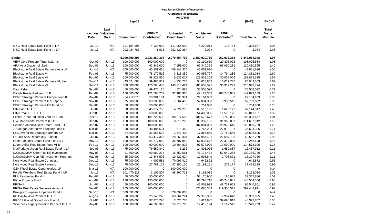#### **New Jersey Division of Investment**

**Alternative Investments 9/30/2013**

|                                                                            |                  |                                     |                           |                                    | 313012013                     |                                |                                          |                    |                                          |
|----------------------------------------------------------------------------|------------------|-------------------------------------|---------------------------|------------------------------------|-------------------------------|--------------------------------|------------------------------------------|--------------------|------------------------------------------|
|                                                                            |                  |                                     | Sep-13                    | Α                                  |                               | в                              | $\mathbf c$                              | $=(B+C)$           | $=(B+C)/A$                               |
|                                                                            | Date             | Last<br>Inception Valuation<br>Date | <b>Commitment</b>         | Amount<br>Contributed <sup>1</sup> | <b>Unfunded</b><br>Commitment | <b>Current Market</b><br>Value | <b>Total</b><br>Distributed <sup>2</sup> | <b>Total Value</b> | <b>Total</b><br>Value<br><b>Multiple</b> |
| M&G Real Estate Debt Fund II, LP                                           | $Jul-13$         | N/A                                 | 121,194,595               | 4,128,992                          | 117,065,602                   | 4,222,913                      | 115,754                                  | 4,338,667          | 1.05                                     |
| M&G Real Estate Debt Fund III, LP                                          | $Jul-13$         | N/A                                 | 202,424,787               | 1,923                              | 202,422,864                   | 2,024                          | 0                                        | 2,024              | 1.05                                     |
| <b>Equity</b>                                                              |                  |                                     | 5,099,699,298             | 3,231,860,303                      | 2,079,454,792                 | 2,480,020,716                  | 962,933,383                              | 3,442,954,098      | 1.07                                     |
| AEW Core Property Trust U.S. Inc.                                          | Oct-07           | $Jun-13$                            | 100,000,000               | 100,000,000                        | $\Omega$                      | 87,199,660                     | 20,806,023                               | 108,005,684        | 1.08                                     |
| ARA Asia Dragon Limited                                                    | Sep-07           | $Jun-13$                            | 100,000,000               | 92,842,000                         | 7,158,000                     | 67,340,364                     | 63,090,231                               | 130,430,595        | 1.40                                     |
| Blackstone Real Estate Partners Asia LP                                    | $Jun-13$         | N/A                                 | 500,000,000               | 43,851,626                         | 456,148,374                   | 43,851,626                     | 0                                        | 43,851,626         | 1.00                                     |
| <b>Blackstone Real Estate V</b>                                            | Feb-06           | $Jun-13$                            | 75,000,000                | 78,170,516                         | 3,313,359                     | 90,056,727                     | 34,794,286                               | 124,851,014        | 1.60                                     |
| <b>Blackstone Real Estate VI</b>                                           | Feb-07           | $Jun-13$                            | 100,000,000               | 98,222,865                         | 5,632,017                     | 123,838,309                    | 30,035,006                               | 153,873,315        | 1.57                                     |
| Blackstone Real Estate Partners VI, Sec                                    | <b>Nov-11</b>    | $Jun-13$                            | 43,624,688                | 39,485,932                         | 4,138,756                     | 54,023,853                     | 10,019,730                               | 64,043,583         | 1.62                                     |
| <b>Blackstone Real Estate VII</b>                                          | Dec-11           | $Jun-13$                            | 300,000,000               | 170,798,450                        | 143,313,424                   | 186,653,521                    | 30,319,273                               | 216,972,794        | 1.27                                     |
| Capri Urban                                                                | Sep-07           | $Jun-13$                            | 50,000,000                | 49,475,115                         | 524,885                       | 35,508,092                     | 0                                        | 35,508,092         | 0.72                                     |
| Carlyle Realty Partners V LP                                               | Feb-07           | $Jun-13$                            | 100,000,000               | 121,584,207                        | 37,488,966                    | 42,127,308                     | 107,745,831                              | 149,873,139        | 1.23                                     |
| <b>CBRE Strategic Partners Europe Fund III</b>                             | May-07           | $Jun-13$                            | 54,712,075                | 53,981,104                         | 730,971                       | 27,164,963                     | 0                                        | 27,164,963         | 0.50                                     |
| CBRE Strategic Partners U.S. Opp V                                         | Nov-07           | $Jun-13$                            | 75,000,000                | 69,388,002                         | 7,564,490                     | 57,834,360                     | 9,935,512                                | 67,769,872         | 0.98                                     |
| <b>CBRE Strategic Partners US Fund IV</b>                                  | $Dec-05$         | $Jun-13$                            | 50,000,000                | 50,000,000                         | $\mathbf 0$                   | 8,754,050                      | 0                                        | 8,754,050          | 0.18                                     |
| CIM Fund III, L.P.                                                         | Jul-07           | $Jun-13$                            | 50,000,000                | 45,377,750                         | 4,622,250                     | 65,518,195                     | 1,626,122                                | 67,144,317         | 1.48                                     |
| CIM Urban REIT, LLC                                                        | Jun-06           | $Jun-13$                            | 50,000,000                | 50,000,000                         | $\mathbf 0$                   | 54,435,006                     | 11,578,175                               | 66,013,181         | 1.32                                     |
| Exeter - Core Industrial Venture Fund                                      | Apr-12           | $Jun-13$                            | 200,000,000               | 101,722,500                        | 98,277,500                    | 101,576,677                    | 3,762,000                                | 105,338,677        | 1.04                                     |
| Five Mile Capital Partners II, LP                                          | Dec-07           | $Jun-13$                            | 100,000,000               | 100,000,000                        | 8,810,268                     | 80,337,105                     | 31,360,807                               | 111,697,912        | 1.12                                     |
| Heitman America Real Estate Trust, L.P.                                    | Jan-07           | $Jun-13$                            | 100,000,000               | 100,000,000                        | $\mathbf 0$                   | 107,081,099                    | 20,978,640                               | 128,059,739        | 1.28                                     |
| JP Morgan Alternative Property Fund II                                     | Mar-06           | $Jun-13$                            | 50,000,000                | 48,484,531                         | 1,515,469                     | 7,766,204                      | 27,918,181                               | 35,684,386         | 0.74                                     |
| L&B Diversified Strategy Partners, LP                                      | Mar-08           | $Jun-13$                            | 34,300,000                | 31,856,592                         | 2,443,409                     | 17,866,880                     | 17,759,645                               | 35,626,525         | 1.12                                     |
| LaSalle Asia Opportunity Fund III                                          | Jul-07           | $Jun-13$                            | 80,000,000                | 63,417,366                         | 20,868,304                    | 37,954,491                     | 22,607,738                               | 60,562,229         | 0.95                                     |
| Lone Star Real Estate Fund II (U.S.) LP                                    | May-11           | $Jun-13$                            | 100,000,000               | 64,217,050                         | 35,707,950                    | 51,935,662                     | 22,313,035                               | 74,248,698         | 1.16                                     |
| Lubert Adler Real Estate Fund VI-B                                         | Feb-11           | $Jun-13$                            | 100,000,000               | 90,000,000                         | 10,664,823                    | 97,578,990                     | 17,000,000                               | 114,578,990        | 1.27                                     |
| MacFarlane Urban Real Estate Fund II, LP                                   | Nov-06           | $Jun-13$                            | 75,000,000                | 76,652,840                         | 6,236                         | 14,805,075                     | 1,652,837                                | 16,457,912         | 0.21                                     |
| NJDOI/GMAM Core Plus RE Investment                                         | May-08           | $Jun-13$                            | 81,500,000                | 69,380,234                         | 16,650,581                    | 45,115,432                     | 57,040,268                               | 102,155,700        | 1.47                                     |
| NJDOI/GMAM Opp RE Investment Program                                       | May-08           | $Jun-13$                            | 25,000,000                | 13,845,595                         | 10,427,624                    | 12,508,849                     | 2,798,871                                | 15,307,720         | 1.11                                     |
| Northwood Real Estate Co-Invest                                            | Dec-12           | $Jun-13$                            | 75,000,000                | 4,902,581                          | 70,097,419                    | 4,642,872                      | $\mathbf 0$                              | 4,642,872          | 0.95                                     |
| Northwood Real Estate Partners                                             | Dec-12           | $Jun-13$                            | 75,000,000                | 27,781,178                         | 47,380,100                    | 27,191,161                     | 273,177                                  | 27,464,338         | 0.99                                     |
| OZNJ Real Estate Opportunities, LP                                         | Mar-13           | N/A                                 | 100,000,000               | 0                                  | 100,000,000                   | 0                              | 0                                        | $\mathbf 0$        | N/A                                      |
| Perella Weinberg Real Estate Fund II LP                                    | $Jul-13$         | N/A                                 | 101,470,528               | 3,109,807                          | 98,360,721                    | 3,163,084                      | 0                                        | 3,163,084          | 1.02                                     |
| PLA Residential Fund III                                                   | Feb-08           | $Jun-13$                            | 50,000,000                | 50,000,000                         | $\mathbf 0$                   | 53,170,900                     | 186,986                                  | 53,357,886         | 1.07                                     |
| <b>Prime Property Fund</b>                                                 | Aug-07           | $Jun-13$                            | 130,000,000               | 150,000,000                        | $\boldsymbol{0}$              | 86,293,716                     | 60,240,841                               | 146,534,556        | 0.98                                     |
| PRISA II                                                                   | Jun-07           | $Jun-13$                            | 60,000,000                | 100,000,000                        | $\mathbf 0$                   | 46,802,998                     | 48,737,663                               | 95,540,661         | 0.96                                     |
| PRISA Real Estate Separate Account                                         |                  |                                     | 265,000,000               |                                    | $\mathbf{0}$                  |                                |                                          | 292,442,911        |                                          |
|                                                                            | Dec-06           | $Jun-13$<br>N/A                     |                           | 300,000,000<br>0                   |                               | 173,086,384<br>$\mathbf 0$     | 119,356,528<br>0                         | $\mathbf 0$        | 0.97                                     |
| Prologis European Properties Fund II<br>RE Capital Asia Partners III, L.P. | Sep-13           | $Jun-13$                            | 379,092,006<br>80,000,000 | 25,148,246                         | 379,092,006<br>60,061,264     | 27,372,356                     | 7,937,640                                | 35,309,995         | N/A<br>1.40                              |
|                                                                            | Aug-12<br>Oct-06 |                                     | 100,000,000               |                                    |                               |                                |                                          |                    | 0.50                                     |
| <b>RREEF Global Opportunity Fund II</b>                                    |                  | $Jun-13$                            |                           | 97,376,296                         | 2,623,705                     | 8,624,845                      | 39,698,012                               | 48,322,857         |                                          |
| Silverpeak Legacy Pension Partners III, L.P.                               | May-08           | $Jun-13$                            | 100,000,000               | 44,586,329                         | 55,219,766                    | 17,416,194                     | 1,162,545                                | 18,578,739         | 0.42                                     |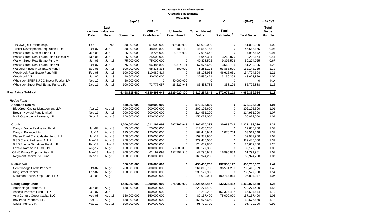## **New Jersey Division of Investment**

**Alternative Investments**

|                                                                        |                             |              |               |                                    | 9/30/2013                     |                                |                                          |                    |                                          |
|------------------------------------------------------------------------|-----------------------------|--------------|---------------|------------------------------------|-------------------------------|--------------------------------|------------------------------------------|--------------------|------------------------------------------|
|                                                                        |                             |              | Sep-13        | Α                                  |                               | В                              | C                                        | $=(B+C)$           | $=(B+C)/A$                               |
|                                                                        | Inception Valuation<br>Date | Last<br>Date | Commitment    | Amount<br>Contributed <sup>1</sup> | <b>Unfunded</b><br>Commitment | <b>Current Market</b><br>Value | <b>Total</b><br>Distributed <sup>2</sup> | <b>Total Value</b> | <b>Total</b><br>Value<br><b>Multiple</b> |
|                                                                        |                             |              |               |                                    |                               |                                |                                          |                    |                                          |
| TPG/NJ (RE) Partnership, LP                                            | Feb-13                      | N/A          | 350,000,000   | 51,000,000                         | 299,000,000                   | 51,000,000                     | 0                                        | 51,000,000         | 1.00                                     |
| Tucker Development/Acquisition Fund<br>Walton Street Mexico Fund I, LP | Oct-07                      | $Jun-13$     | 50,000,000    | 48,899,890                         | 1,100,110                     | 46,565,165                     | 0                                        | 46,565,165         | 0.95<br>0.91                             |
|                                                                        | Jun-08                      | $Jun-13$     | 25,000,000    | 19,725,000                         | 5,275,000                     | 17,987,642                     | 0                                        | 17,987,642         |                                          |
| Walton Street Real Estate Fund Sidecar V                               | Dec-06                      | $Jun-13$     | 25,000,000    | 25,000,000                         | 0<br>0                        | 6,947,304                      | 3,260,870                                | 10,208,174         | 0.41                                     |
| Walton Street Real Estate Fund V                                       | $Jun-06$                    | $Jun-13$     | 75,000,000    | 75,000,000                         |                               | 40,878,502                     | 9,395,523                                | 50,274,025         | 0.67                                     |
| Walton Street Real Estate Fund VI                                      | Oct-07                      | Jun-13       | 75,000,000    | 66,485,899                         | 8,514,101                     | 67,676,660                     | 13,562,736                               | 81,239,395         | 1.22                                     |
| Warburg Pincus Real Estate Fund I                                      | Sep-06                      | $Jun-13$     | 100,000,000   | 95,333,333                         | 500,000                       | 78,281,225                     | 53,865,500                               | 132,146,725        | 1.39                                     |
| Westbrook Real Estate Fund VIII                                        | Feb-08                      | $Jun-13$     | 100,000,000   | 110,980,414                        | 0                             | 88,108,953                     | 46,615,651                               | 134,724,604        | 1.21                                     |
| Westbrook VII                                                          | Jan-07                      | $Jun-13$     | 40,000,000    | 40,000,000                         | 0                             | 30,539,471                     | 13,139,398                               | 43,678,869         | 1.09                                     |
| Wheelock SREF NJ CO-Invest Feeder, LP                                  | <b>Nov-12</b>               | $Jun-13$     | 50,000,000    | 0                                  | 50,000,000                    | $\mathbf 0$                    | 0                                        | $\mathbf 0$        | N/A                                      |
| Wheelock Street Real Estate Fund, L.P.                                 | Dec-11                      | $Jun-13$     | 100,000,000   | 73,777,057                         | 26,222,943                    | 85,438,785                     | 358,103                                  | 85,796,888         | 1.16                                     |
| <b>Real Estate Subtotal</b>                                            |                             |              | 6,498,318,680 | 4,180,498,045                      | 2,529,020,300                 | 3,317,264,841                  | 1,372,075,113                            | 4,689,339,954      | 1.12                                     |
| <b>Hedge Fund</b>                                                      |                             |              |               |                                    |                               |                                |                                          |                    |                                          |
| <b>Absolute Return</b>                                                 |                             |              | 550,000,000   | 550,000,000                        | 0                             | 573,128,800                    | 0                                        | 573,128,800        | 1.04                                     |
| <b>BlueCrest Capital Management LLP</b>                                | Apr-12                      | Aug-13       | 200,000,000   | 200,000,000                        | 0                             | 202,105,600                    | 0                                        | 202,105,600        | 1.01                                     |
| Brevan Howard Fund Limited                                             | <b>Nov-11</b>               | $Jun-13$     | 200,000,000   | 200,000,000                        | 0                             | 214,951,200                    | 0                                        | 214,951,200        | 1.07                                     |
| MKP Opportunity Partners, L.P.                                         | Sep-12                      | Aug-13       | 150,000,000   | 150,000,000                        | 0                             | 156,072,000                    | $\mathbf 0$                              | 156,072,000        | 1.04                                     |
| <b>Credit</b>                                                          |                             |              | 1,200,000,000 | 1,011,197,093                      | 207,797,945                   | 1,207,070,287                  | 20,065,743                               | 1,227,136,030      | 1.21                                     |
| Canyon Value Realization Fund                                          | Jun-07                      | Aug-13       | 75,000,000    | 75,000,000                         | 0                             | 117,655,200                    | $\mathbf 0$                              | 117,655,200        | 1.57                                     |
| Canyon Balanced Fund                                                   | $Jul-11$                    | Aug-13       | 125,000,000   | 125,000,000                        | 0                             | 162,440,944                    | 1,070,704                                | 163,511,648        | 1.31                                     |
| Claren Road Credit Master Fund, Ltd.                                   | $Jun-12$                    | Aug-13       | 150,000,000   | 150,000,000                        | 0                             | 159,987,900                    | 0                                        | 159,987,900        | 1.07                                     |
| GSO Credit Partners - A, L.P.                                          | Mar-12                      | Aug-13       | 250,000,000   | 250,000,000                        | 0                             | 329,485,000                    | 0                                        | 329,485,000        | 1.32                                     |
| GSO Special Situations Fund, L.P.                                      | Feb-12                      | $Jul-13$     | 100,000,000   | 100,000,000                        | $\mathbf 0$                   | 124,652,800                    | 0                                        | 124,652,800        | 1.25                                     |
| Lazard Rathmore Fund, Ltd.                                             | Aug-12                      | Aug-13       | 150,000,000   | 100,000,000                        | 50,000,000                    | 109,127,300                    | $\mathbf 0$                              | 109,127,300        | 1.09                                     |
| OZNJ Private Opportunities LP                                          | Mar-13                      | $Jul-13$     | 200,000,000   | 61,197,093                         | 157,797,945                   | 42,796,943                     | 18,995,039                               | 61,791,981         | 1.01                                     |
| Regiment Capital Ltd. Fund                                             | Dec-11                      | Aug-13       | 150,000,000   | 150,000,000                        | 0                             | 160,924,200                    | $\mathbf 0$                              | 160,924,200        | 1.07                                     |
| <b>Distressed</b>                                                      |                             |              | 350,000,000   | 450,000,000                        | 0                             | 498,436,765                    | 137,359,172                              | 635,795,937        | 1.41                                     |
| Centerbridge Credit Partners                                           | Oct-07                      | Aug-13       | 200,000,000   | 200,000,000                        | 0                             | 261,819,783                    | 36,594,206                               | 298,413,989        | 1.49                                     |
| King Street Capital                                                    | Feb-07                      | Aug-13       | 150,000,000   | 150,000,000                        | 0                             | 230,577,900                    | 0                                        | 230,577,900        | 1.54                                     |
| Marathon Special Opp Fund, LTD                                         | Jul-08                      | Aug-13       | 0             | 100,000,000                        | 0                             | 6,039,081                      | 100,764,966                              | 106,804,047        | 1.07                                     |
| <b>Equity Long/ Short</b>                                              |                             |              | 1,425,000,000 | 1,200,000,000                      | 375,000,000                   | 1,228,648,457                  | 232,324,412                              | 1,460,972,869      | 1.22                                     |
| Archipelago Partners, LP                                               | Jun-06                      | Aug-13       | 150,000,000   | 150,000,000                        | 0                             | 229,274,400                    | 0                                        | 229,274,400        | 1.53                                     |
| Ascend Partners Fund II, LP                                            | Jul-07                      | $Jun-13$     | $\mathbf 0$   | 150,000,000                        | 0                             | 8,280,232                      | 157,324,412                              | 165,604,644        | 1.10                                     |
| Asia Century Quest Capital LLC                                         | Aug-08                      | Aug-13       | 150,000,000   | 150,000,000                        | 0                             | 82,157,400                     | 75,000,000                               | 157, 157, 400      | 1.05                                     |
| Bay Pond Partners, L.P.                                                | Apr-12                      | Aug-13       | 150,000,000   | 150,000,000                        | 0                             | 168,676,650                    | 0                                        | 168,676,650        | 1.12                                     |
| Cadian Fund, L.P.                                                      | May-12                      | Aug-13       | 100,000,000   | 100,000,000                        | 0                             | 98,720,700                     | 0                                        | 98,720,700         | 0.99                                     |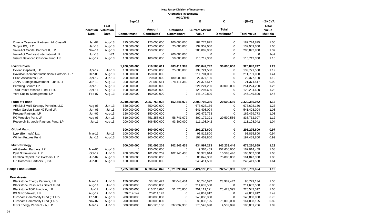#### **New Jersey Division of Investment Alternative Investments**

|                                              |                             |              |               |                                    | 9/30/2013                     |                                |                                          |                    |                                          |
|----------------------------------------------|-----------------------------|--------------|---------------|------------------------------------|-------------------------------|--------------------------------|------------------------------------------|--------------------|------------------------------------------|
|                                              |                             |              |               | Α                                  |                               | в                              | C                                        | $=(B+C)$           | $=(B+C)/A$                               |
|                                              | Inception Valuation<br>Date | Last<br>Date | Commitment    | Amount<br>Contributed <sup>1</sup> | <b>Unfunded</b><br>Commitment | <b>Current Market</b><br>Value | <b>Total</b><br>Distributed <sup>2</sup> | <b>Total Value</b> | <b>Total</b><br>Value<br><b>Multiple</b> |
| Omega Overseas Partners Ltd. Class-B         | Jan-07                      | Aug-13       | 225,000,000   | 125,000,000                        | 100,000,000                   | 187,774,875                    | 0                                        | 187,774,875        | 1.50                                     |
| Scopia PX, LLC                               | $Jan-13$                    | Aug-13       | 150,000,000   | 125,000,000                        | 25,000,000                    | 132,959,000                    | $\mathbf 0$                              | 132,959,000        | 1.06                                     |
| ValueAct Capital Partners II, L.P.           | <b>Nov-11</b>               | Aug-13       | 150,000,000   | 150,000,000                        | $\mathbf 0$                   | 205,092,900                    | $\mathbf 0$                              | 205,092,900        | 1.37                                     |
| ValueAct Co-Invest International LP          | $Jun-13$                    | N/A          | 200,000,000   | 0                                  | 200,000,000                   | $\mathbf 0$                    | $\mathbf 0$                              | $\mathbf 0$        | N/A                                      |
| Visium Balanced Offshore Fund, Ltd           | Aug-12                      | Aug-13       | 150,000,000   | 100,000,000                        | 50,000,000                    | 115,712,300                    | $\mathbf 0$                              | 115,712,300        | 1.16                                     |
| <b>Event Driven</b>                          |                             |              | 1,200,000,000 | 716,588,611                        | 483,411,389                   | 890,842,747                    | 30,000,000                               | 920,842,747        | 1.29                                     |
| Cevian Capital II, L.P.                      | Apr-12                      | $Jul-13$     | 150,000,000   | 125,000,000                        | 25,000,000                    | 139,721,500                    | 0                                        | 139,721,500        | 1.12                                     |
| Davidson Kempner Institutional Partners, L.P | Dec-06                      | Aug-13       | 150,000,000   | 150,000,000                        | $\mathbf 0$                   | 211,701,000                    | $\mathbf 0$                              | 211,701,000        | 1.41                                     |
| Elliott Associates, L.P.                     | Apr-12                      | $Jun-13$     | 200,000,000   | 20,000,000                         | 180,000,000                   | 22,377,100                     | $\mathbf 0$                              | 22,377,100         | 1.12                                     |
| JANA Strategic Investment Fund II, LP        | $Jun-13$                    | Aug-13       | 300,000,000   | 21,588,611                         | 278,411,389                   | 21,374,517                     | $\mathbf 0$                              | 21,374,517         | 0.99                                     |
| Pershing Square LP                           | Apr-10                      | Aug-13       | 200,000,000   | 200,000,000                        | 0                             | 221,224,230                    | 30,000,000                               | 251,224,230        | 1.26                                     |
| Third Point Offshore Fund, LTD.              | Apr-11                      | Aug-13       | 100,000,000   | 100,000,000                        | $\mathbf 0$                   | 128,294,600                    | $\mathbf 0$                              | 128,294,600        | 1.28                                     |
| York Capital Management, LP                  | Feb-07                      | Aug-13       | 100,000,000   | 100,000,000                        | $\mathbf 0$                   | 146,149,800                    | $\mathbf 0$                              | 146,149,800        | 1.46                                     |
| <b>Fund of Funds</b>                         |                             |              | 2,210,000,000 | 2,057,758,928                      | 152,241,072                   | 2,299,796,386                  | 29,590,586                               | 2,329,386,972      | 1.13                                     |
| AIMS/NJ Multi-Strategy Portfolio, LLC        | Aug-06                      | Jun-13       | 550,000,000   | 550,000,000                        | $\mathbf 0$                   | 675,628,156                    | 0                                        | 675,628,156        | 1.23                                     |
| Arden Garden State NJ Fund LP.               | Jun-06                      | $Jul-13$     | 500,000,000   | 500,000,000                        | 0                             | 541,408,094                    | 0                                        | 541,408,094        | 1.08                                     |
| Protege Partners, LP                         | Jun-07                      | Aug-13       | 150,000,000   | 150,000,000                        | $\mathbf 0$                   | 162,479,773                    | $\mathbf 0$                              | 162,479,773        | 1.08                                     |
| RC Woodley Park, LP                          | Aug-06                      | $Jun-13$     | 810,000,000   | 751,258,928                        | 58,741,072                    | 809,172,321                    | 29,590,586                               | 838,762,907        | 1.12                                     |
| Reservoir Strategic Partners Fund, LP        | $Jul-11$                    | Aug-13       | 200,000,000   | 106,500,000                        | 93,500,000                    | 111,108,042                    | $\mathbf 0$                              | 111,108,042        | 1.04                                     |
| <b>Global Macro</b>                          |                             |              | 300,000,000   | 300,000,000                        | 0                             | 291,275,600                    | 0                                        | 291,275,600        | 0.97                                     |
| Lynx (Bermuda) Ltd.                          | Mar-11                      | $Jul-13$     | 100,000,000   | 100,000,000                        | 0                             | 93,815,800                     | $\mathbf 0$                              | 93,815,800         | 0.94                                     |
| <b>Winton Futures Fund</b>                   | $Jan-11$                    | Aug-13       | 200,000,000   | 200,000,000                        | $\mathbf 0$                   | 197,459,800                    | $\mathbf 0$                              | 197,459,800        | 0.99                                     |
| <b>Multi-Strategy</b>                        |                             |              | 500,000,000   | 551,096,209                        | 102,946,438                   | 434,997,223                    | 243,233,446                              | 678,230,669        | 1.23                                     |
| AG Garden Partners, LP                       | Mar-06                      | Aug-13       | $\mathbf{0}$  | 150,000,000                        | $\mathbf{0}$                  | 9,364,459                      | 152,650,000                              | 162,014,459        | 1.08                                     |
| Dyal NJ Investors, L.P.                      | Oct-12                      | $Jun-13$     | 200,000,000   | 101,096,209                        | 102,946,438                   | 93,373,914                     | 15,583,446                               | 108,957,360        | 1.08                                     |
| Farallon Capital Inst. Partners, L.P.        | Jun-07                      | Aug-13       | 150,000,000   | 150,000,000                        | $\mathbf 0$                   | 86,847,300                     | 75,000,000                               | 161,847,300        | 1.08                                     |
| OZ Domestic Partners II, Ltd.                | $Jun-06$                    | Aug-13       | 150,000,000   | 150,000,000                        | 0                             | 245,411,550                    | $\mathbf 0$                              | 245,411,550        | 1.64                                     |
| <b>Hedge Fund Subtotal</b>                   |                             |              | 7,735,000,000 | 6,836,640,842                      | 1,321,396,844                 | 7,424,196,265                  | 692,573,359                              | 8,116,769,624      | 1.19                                     |
| <b>Real Assets</b>                           |                             |              |               |                                    |                               |                                |                                          |                    |                                          |
| Blackstone Energy Partners, L.P.             | Mar-12                      | $Jun-13$     | 150,000,000   | 58,180,422                         | 92,043,434                    | 66,746,692                     | 23,982,442                               | 90,729,134         | 1.56                                     |
| <b>Blackstone Resources Select Fund</b>      | Aug-11                      | $Jul-13$     | 250,000,000   | 250,000,000                        | 0                             | 214,682,500                    | 0                                        | 214,682,500        | 0.86                                     |
| Blackstone TOP Fund - A, L.P.                | $Jul-12$                    | $Jun-13$     | 250,000,000   | 216,514,620                        | 51,575,850                    | 201,119,121                    | 25,423,395                               | 226,542,517        | 1.05                                     |
| BX NJ Co-Invest, L.P.                        | Aug-12                      | $Jun-13$     | 20,014,142    | 20,014,142                         | 0                             | 49,861,912                     | 0                                        | 49,861,912         | 2.49                                     |
| Gresham Commodity Fund (ETAP)                | Feb-08                      | Aug-13       | 200,000,000   | 200,000,000                        | 0                             | 146,860,800                    | 0                                        | 146,860,800        | 0.73                                     |
| Gresham Commodity Fund (TAP)                 | Nov-07                      | Aug-13       | 200,000,000   | 200,000,000                        | 0                             | 89,098,125                     | 75,000,000                               | 164,098,125        | 0.82                                     |
| GSO Energy Partners - A, L.P.                | Mar-12                      | $Jun-13$     | 500,000,000   | 165,126,136                        | 337,837,336                   | 175,542,690                    | 4,539,096                                | 180,081,786        | 1.09                                     |
|                                              |                             |              |               |                                    |                               |                                |                                          |                    |                                          |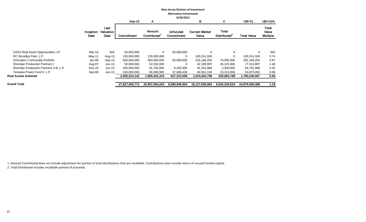|                                        | <b>New Jersey Division of Investment</b><br><b>Alternative Investments</b><br>9/30/2013 |                                  |                |                              |                               |                                |                                   |                    |                                          |  |  |
|----------------------------------------|-----------------------------------------------------------------------------------------|----------------------------------|----------------|------------------------------|-------------------------------|--------------------------------|-----------------------------------|--------------------|------------------------------------------|--|--|
|                                        |                                                                                         |                                  | $Sep-13$       | A                            |                               | в                              | C                                 | $=(B+C)$           | $=(B+C)/A$                               |  |  |
|                                        | <b>Inception</b><br>Date                                                                | Last<br><b>Valuation</b><br>Date | Commitment     | <b>Amount</b><br>Contributed | <b>Unfunded</b><br>Commitment | <b>Current Market</b><br>Value | Total<br>Distributed <sup>2</sup> | <b>Total Value</b> | <b>Total</b><br>Value<br><b>Multiple</b> |  |  |
|                                        |                                                                                         |                                  |                |                              |                               |                                |                                   |                    |                                          |  |  |
| OZNJ Real Asset Opportunities, LP      | Mar-13                                                                                  | N/A                              | 50,000,000     | $\Omega$                     | 50,000,000                    | $\Omega$                       | $\Omega$                          | 0                  | N/A                                      |  |  |
| RC Woodley Park, L.P.                  | May-11                                                                                  | Aug-13                           | 135,000,000    | 135,000,000                  | 0                             | 100,241,550                    | $\Omega$                          | 100,241,550        | 0.74                                     |  |  |
| <b>Schroders Commodity Portfolio</b>   | Jan-08                                                                                  | $Sep-13$                         | 500,000,000    | 450,000,000                  | 50,000,000                    | 316,166,250                    | 75,000,000                        | 391,166,250        | 0.87                                     |  |  |
| <b>Sheridan Production Partners I</b>  | Aug-07                                                                                  | Jun-13                           | 50,000,000     | 52,250,000                   | $\Omega$                      | 42,189,997                     | 35,125,000                        | 77,314,997         | 1.48                                     |  |  |
| Sheridan Production Partners II-B, L.P | Nov-10                                                                                  | $Jun-13$                         | 100,000,000    | 91,750,000                   | 8,250,000                     | 81,291,968                     | 3,500,000                         | 84,791,968         | 0.92                                     |  |  |
| Tenaska Power Fund II, L.P.            | Sep-08                                                                                  | $Jun-13$                         | 100,000,000    | 66,586,995                   | 37,608,438                    | 40,561,194                     | 23,313,856                        | 63,875,050         | 0.96                                     |  |  |
| Real Assets Subtotal                   |                                                                                         |                                  | 2,505,014,142  | ,905,422,315                 | 627,315,058                   | 1,524,362,798                  | 265,883,789                       | 1,790,246,587      | 0.94                                     |  |  |
| <b>Grand Total</b>                     |                                                                                         |                                  | 27,827,945,772 | 20,957,094,204               | 8,589,948,934                 | 18,127,058,964                 | 6,552,226,524                     | 24,679,285,488     | 1.18                                     |  |  |

1. Amount Contributed does not include adjustment for portion of total distributions that are recallable. Contributions does include return of unused funded capital. 2. Total Distributed includes recallable portion of proceeds.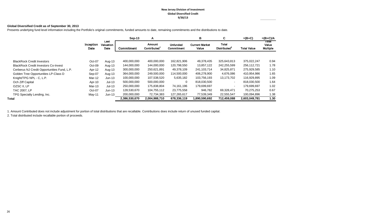#### **New Jersey Division of Investment Global Diversified Credit 9/30/13**

#### **Global Diversified Credit as of September 30, 2013**

Presents underlying fund level information including the Portfolio's original commitments, funded amounts to date, remaining commitments and the distributions to date.

|                                             |                   |                           | $Sep-13$      | A                                         |                               | в                              | C                                        | $=(B+C)$           | $=(B+C)/A$                        |
|---------------------------------------------|-------------------|---------------------------|---------------|-------------------------------------------|-------------------------------|--------------------------------|------------------------------------------|--------------------|-----------------------------------|
|                                             | Inception<br>Date | Last<br>Valuation<br>Date | Commitment    | <b>Amount</b><br>Contributed <sup>1</sup> | <b>Unfunded</b><br>Commitment | <b>Current Market</b><br>Value | <b>Total</b><br>Distributed <sup>2</sup> | <b>Total Value</b> | Total<br>Value<br><b>Multiple</b> |
|                                             |                   |                           | 400,000,000   | 400,000,000                               | 162,821,906                   | 49,378,435                     | 325,643,813                              | 375,022,247        | 0.94                              |
| <b>BlackRock Credit Investors</b>           | Oct-07            | Aug-13                    |               |                                           |                               |                                |                                          |                    |                                   |
| <b>BlackRock Credit Investors Co-Invest</b> | Oct-09            | Aug-13                    | 144,000,000   | 144,000,000                               | 120,798,550                   | 13,857,122                     | 242,255,599                              | 256,112,721        | 1.78                              |
| Cerberus NJ Credit Opportunities Fund, L.P. | Apr-12            | Aug-13                    | 300,000,000   | 250,621,891                               | 49,378,109                    | 241,103,714                    | 34,825,871                               | 275,929,585        | 1.10                              |
| Golden Tree Opportunities LP-Class D        | Sep-07            | Aug-13                    | 364,000,000   | 249,500,000                               | 114,500,000                   | 406,278,900                    | 4,676,086                                | 410,954,986        | 1.65                              |
| Knight/TPG NPL - C, L.P.                    | Mar-12            | $Jun-13$                  | 100,000,000   | 107,538,520                               | 5,635,182                     | 103.756.193                    | 13,173,702                               | 116,929,895        | 1.09                              |
| Och Ziff Capital                            | Apr-10            | $Jul-13$                  | 500,000,000   | 500,000,000                               | 0                             | 818,030,500                    | $\sim$                                   | 818,030,500        | 1.64                              |
| OZSC II, LP                                 | Mar-13            | $Jul-13$                  | 250,000,000   | 175,838,804                               | 74,161,196                    | 179,699,697                    |                                          | 179,699,697        | 1.02                              |
| TAC 2007, LP                                | Oct-07            | $Jun-13$                  | 128,530,670   | 104,755,112                               | 23,775,558                    | 946,782                        | 69.328.471                               | 70.275.253         | 0.67                              |
| TPG Specialty Lending, Inc.                 | May-11            | $Jun-13$                  | 200,000,000   | 72,734,383                                | 127,265,617                   | 77,539,349                     | 22,555,547                               | 100,094,896        | 1.38                              |
| Total                                       |                   |                           | 2,386,530,670 | 2,004,988,710                             | 678,336,119                   | 1,890,590,692                  | 712,459,088                              | 2,603,049,781      | 1.30                              |

1. Amount Contributed does not include adjustment for portion of total distributions that are recallable. Contributions does include return of unused funded capital.

2. Total distributed include recallable portion of proceeds.